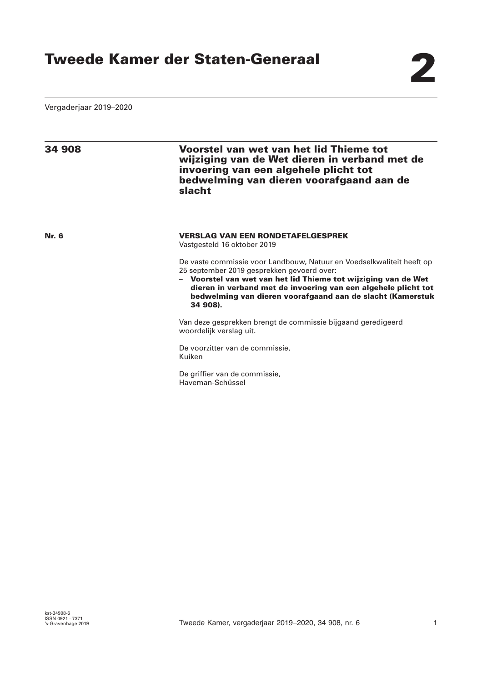Vergaderjaar 2019–2020

| 34 908       | <b>Voorstel van wet van het lid Thieme tot</b><br>wijziging van de Wet dieren in verband met de<br>invoering van een algehele plicht tot<br>bedwelming van dieren voorafgaand aan de<br>slacht                                                                                                                                    |
|--------------|-----------------------------------------------------------------------------------------------------------------------------------------------------------------------------------------------------------------------------------------------------------------------------------------------------------------------------------|
| <b>Nr. 6</b> | <b>VERSLAG VAN EEN RONDETAFELGESPREK</b><br>Vastgesteld 16 oktober 2019                                                                                                                                                                                                                                                           |
|              | De vaste commissie voor Landbouw, Natuur en Voedselkwaliteit heeft op<br>25 september 2019 gesprekken gevoerd over:<br>- Voorstel van wet van het lid Thieme tot wijziging van de Wet<br>dieren in verband met de invoering van een algehele plicht tot<br>bedwelming van dieren voorafgaand aan de slacht (Kamerstuk<br>34 908). |
|              | Van deze gesprekken brengt de commissie bijgaand geredigeerd<br>woordelijk verslag uit.                                                                                                                                                                                                                                           |
|              | De voorzitter van de commissie,<br>Kuiken                                                                                                                                                                                                                                                                                         |

De griffier van de commissie, Haveman-Schüssel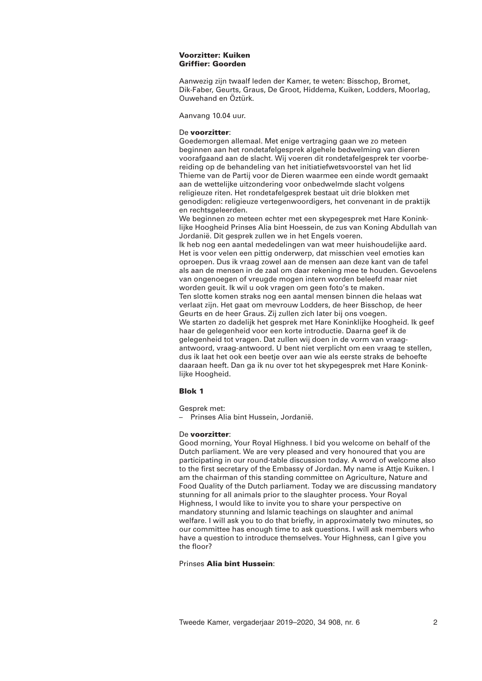## **Voorzitter: Kuiken Griffier: Goorden**

Aanwezig zijn twaalf leden der Kamer, te weten: Bisschop, Bromet, Dik-Faber, Geurts, Graus, De Groot, Hiddema, Kuiken, Lodders, Moorlag, Ouwehand en Öztürk.

Aanvang 10.04 uur.

## De **voorzitter**:

Goedemorgen allemaal. Met enige vertraging gaan we zo meteen beginnen aan het rondetafelgesprek algehele bedwelming van dieren voorafgaand aan de slacht. Wij voeren dit rondetafelgesprek ter voorbereiding op de behandeling van het initiatiefwetsvoorstel van het lid Thieme van de Partij voor de Dieren waarmee een einde wordt gemaakt aan de wettelijke uitzondering voor onbedwelmde slacht volgens religieuze riten. Het rondetafelgesprek bestaat uit drie blokken met genodigden: religieuze vertegenwoordigers, het convenant in de praktijk en rechtsgeleerden.

We beginnen zo meteen echter met een skypegesprek met Hare Koninklijke Hoogheid Prinses Alia bint Hoessein, de zus van Koning Abdullah van Jordanië. Dit gesprek zullen we in het Engels voeren.

Ik heb nog een aantal mededelingen van wat meer huishoudelijke aard. Het is voor velen een pittig onderwerp, dat misschien veel emoties kan oproepen. Dus ik vraag zowel aan de mensen aan deze kant van de tafel als aan de mensen in de zaal om daar rekening mee te houden. Gevoelens van ongenoegen of vreugde mogen intern worden beleefd maar niet worden geuit. Ik wil u ook vragen om geen foto's te maken. Ten slotte komen straks nog een aantal mensen binnen die helaas wat verlaat zijn. Het gaat om mevrouw Lodders, de heer Bisschop, de heer Geurts en de heer Graus. Zij zullen zich later bij ons voegen. We starten zo dadelijk het gesprek met Hare Koninklijke Hoogheid. Ik geef haar de gelegenheid voor een korte introductie. Daarna geef ik de gelegenheid tot vragen. Dat zullen wij doen in de vorm van vraagantwoord, vraag-antwoord. U bent niet verplicht om een vraag te stellen, dus ik laat het ook een beetje over aan wie als eerste straks de behoefte daaraan heeft. Dan ga ik nu over tot het skypegesprek met Hare Koninklijke Hoogheid.

# **Blok 1**

Gesprek met:

– Prinses Alia bint Hussein, Jordanië.

# De **voorzitter**:

Good morning, Your Royal Highness. I bid you welcome on behalf of the Dutch parliament. We are very pleased and very honoured that you are participating in our round-table discussion today. A word of welcome also to the first secretary of the Embassy of Jordan. My name is Attje Kuiken. I am the chairman of this standing committee on Agriculture, Nature and Food Quality of the Dutch parliament. Today we are discussing mandatory stunning for all animals prior to the slaughter process. Your Royal Highness, I would like to invite you to share your perspective on mandatory stunning and Islamic teachings on slaughter and animal welfare. I will ask you to do that briefly, in approximately two minutes, so our committee has enough time to ask questions. I will ask members who have a question to introduce themselves. Your Highness, can I give you the floor?

# Prinses **Alia bint Hussein**: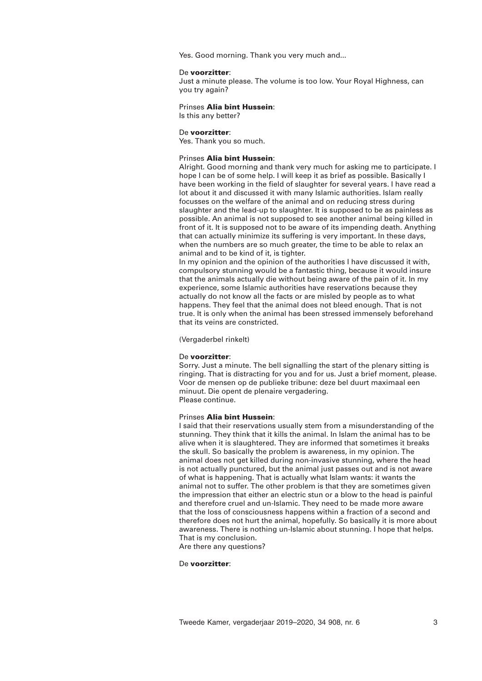Yes. Good morning. Thank you very much and...

## De **voorzitter**:

Just a minute please. The volume is too low. Your Royal Highness, can you try again?

## Prinses **Alia bint Hussein**:

Is this any better?

### De **voorzitter**:

Yes. Thank you so much.

## Prinses **Alia bint Hussein**:

Alright. Good morning and thank very much for asking me to participate. I hope I can be of some help. I will keep it as brief as possible. Basically I have been working in the field of slaughter for several years. I have read a lot about it and discussed it with many Islamic authorities. Islam really focusses on the welfare of the animal and on reducing stress during slaughter and the lead-up to slaughter. It is supposed to be as painless as possible. An animal is not supposed to see another animal being killed in front of it. It is supposed not to be aware of its impending death. Anything that can actually minimize its suffering is very important. In these days, when the numbers are so much greater, the time to be able to relax an animal and to be kind of it, is tighter.

In my opinion and the opinion of the authorities I have discussed it with, compulsory stunning would be a fantastic thing, because it would insure that the animals actually die without being aware of the pain of it. In my experience, some Islamic authorities have reservations because they actually do not know all the facts or are misled by people as to what happens. They feel that the animal does not bleed enough. That is not true. It is only when the animal has been stressed immensely beforehand that its veins are constricted.

(Vergaderbel rinkelt)

#### De **voorzitter**:

Sorry. Just a minute. The bell signalling the start of the plenary sitting is ringing. That is distracting for you and for us. Just a brief moment, please. Voor de mensen op de publieke tribune: deze bel duurt maximaal een minuut. Die opent de plenaire vergadering. Please continue.

### Prinses **Alia bint Hussein**:

I said that their reservations usually stem from a misunderstanding of the stunning. They think that it kills the animal. In Islam the animal has to be alive when it is slaughtered. They are informed that sometimes it breaks the skull. So basically the problem is awareness, in my opinion. The animal does not get killed during non-invasive stunning, where the head is not actually punctured, but the animal just passes out and is not aware of what is happening. That is actually what Islam wants: it wants the animal not to suffer. The other problem is that they are sometimes given the impression that either an electric stun or a blow to the head is painful and therefore cruel and un-Islamic. They need to be made more aware that the loss of consciousness happens within a fraction of a second and therefore does not hurt the animal, hopefully. So basically it is more about awareness. There is nothing un-Islamic about stunning. I hope that helps. That is my conclusion.

Are there any questions?

## De **voorzitter**: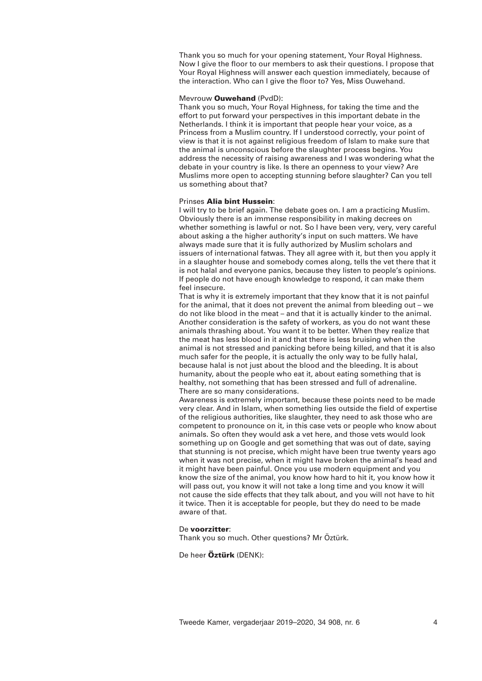Thank you so much for your opening statement, Your Royal Highness. Now I give the floor to our members to ask their questions. I propose that Your Royal Highness will answer each question immediately, because of the interaction. Who can I give the floor to? Yes, Miss Ouwehand.

## Mevrouw **Ouwehand** (PvdD):

Thank you so much, Your Royal Highness, for taking the time and the effort to put forward your perspectives in this important debate in the Netherlands. I think it is important that people hear your voice, as a Princess from a Muslim country. If I understood correctly, your point of view is that it is not against religious freedom of Islam to make sure that the animal is unconscious before the slaughter process begins. You address the necessity of raising awareness and I was wondering what the debate in your country is like. Is there an openness to your view? Are Muslims more open to accepting stunning before slaughter? Can you tell us something about that?

## Prinses **Alia bint Hussein**:

I will try to be brief again. The debate goes on. I am a practicing Muslim. Obviously there is an immense responsibility in making decrees on whether something is lawful or not. So I have been very, very, very careful about asking a the higher authority's input on such matters. We have always made sure that it is fully authorized by Muslim scholars and issuers of international fatwas. They all agree with it, but then you apply it in a slaughter house and somebody comes along, tells the vet there that it is not halal and everyone panics, because they listen to people's opinions. If people do not have enough knowledge to respond, it can make them feel insecure.

That is why it is extremely important that they know that it is not painful for the animal, that it does not prevent the animal from bleeding out – we do not like blood in the meat – and that it is actually kinder to the animal. Another consideration is the safety of workers, as you do not want these animals thrashing about. You want it to be better. When they realize that the meat has less blood in it and that there is less bruising when the animal is not stressed and panicking before being killed, and that it is also much safer for the people, it is actually the only way to be fully halal, because halal is not just about the blood and the bleeding. It is about humanity, about the people who eat it, about eating something that is healthy, not something that has been stressed and full of adrenaline. There are so many considerations.

Awareness is extremely important, because these points need to be made very clear. And in Islam, when something lies outside the field of expertise of the religious authorities, like slaughter, they need to ask those who are competent to pronounce on it, in this case vets or people who know about animals. So often they would ask a vet here, and those vets would look something up on Google and get something that was out of date, saying that stunning is not precise, which might have been true twenty years ago when it was not precise, when it might have broken the animal's head and it might have been painful. Once you use modern equipment and you know the size of the animal, you know how hard to hit it, you know how it will pass out, you know it will not take a long time and you know it will not cause the side effects that they talk about, and you will not have to hit it twice. Then it is acceptable for people, but they do need to be made aware of that.

### De **voorzitter**:

Thank you so much. Other questions? Mr Öztürk.

# De heer **Öztürk** (DENK):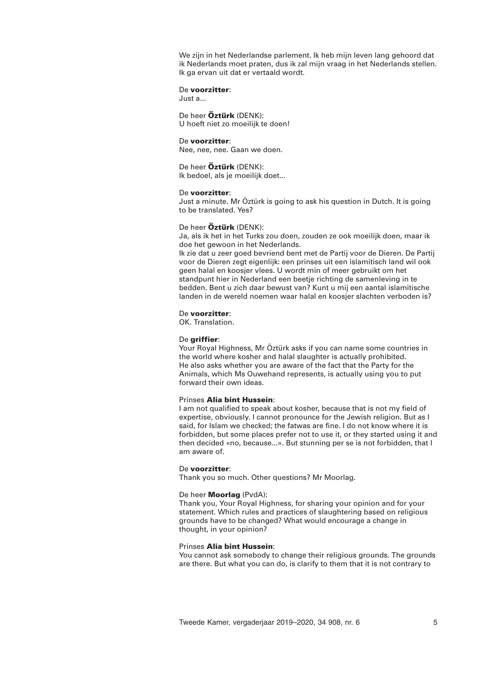We zijn in het Nederlandse parlement. Ik heb mijn leven lang gehoord dat ik Nederlands moet praten, dus ik zal mijn vraag in het Nederlands stellen. Ik ga ervan uit dat er vertaald wordt.

## De **voorzitter**:

Just a...

De heer **Öztürk** (DENK): U hoeft niet zo moeilijk te doen!

## De **voorzitter**:

Nee, nee, nee. Gaan we doen.

De heer **Öztürk** (DENK): Ik bedoel, als je moeilijk doet...

## De **voorzitter**:

Just a minute. Mr Öztürk is going to ask his question in Dutch. It is going to be translated. Yes?

## De heer **Öztürk** (DENK):

Ja, als ik het in het Turks zou doen, zouden ze ook moeilijk doen, maar ik doe het gewoon in het Nederlands.

Ik zie dat u zeer goed bevriend bent met de Partij voor de Dieren. De Partij voor de Dieren zegt eigenlijk: een prinses uit een islamitisch land wil ook geen halal en koosjer vlees. U wordt min of meer gebruikt om het standpunt hier in Nederland een beetje richting de samenleving in te bedden. Bent u zich daar bewust van? Kunt u mij een aantal islamitische landen in de wereld noemen waar halal en koosjer slachten verboden is?

## De **voorzitter**:

OK. Translation.

## De **griffier**:

Your Royal Highness, Mr Öztürk asks if you can name some countries in the world where kosher and halal slaughter is actually prohibited. He also asks whether you are aware of the fact that the Party for the Animals, which Ms Ouwehand represents, is actually using you to put forward their own ideas.

### Prinses **Alia bint Hussein**:

I am not qualified to speak about kosher, because that is not my field of expertise, obviously. I cannot pronounce for the Jewish religion. But as I said, for Islam we checked; the fatwas are fine. I do not know where it is forbidden, but some places prefer not to use it, or they started using it and then decided «no, because...». But stunning per se is not forbidden, that I am aware of.

#### De **voorzitter**:

Thank you so much. Other questions? Mr Moorlag.

### De heer **Moorlag** (PvdA):

Thank you, Your Royal Highness, for sharing your opinion and for your statement. Which rules and practices of slaughtering based on religious grounds have to be changed? What would encourage a change in thought, in your opinion?

## Prinses **Alia bint Hussein**:

You cannot ask somebody to change their religious grounds. The grounds are there. But what you can do, is clarify to them that it is not contrary to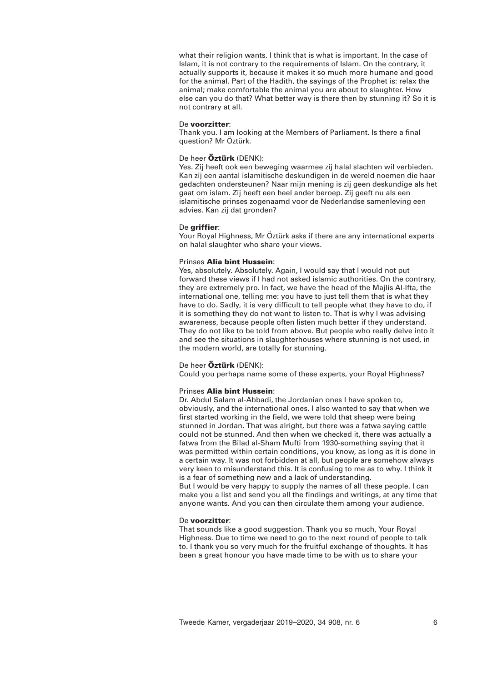what their religion wants. I think that is what is important. In the case of Islam, it is not contrary to the requirements of Islam. On the contrary, it actually supports it, because it makes it so much more humane and good for the animal. Part of the Hadith, the sayings of the Prophet is: relax the animal; make comfortable the animal you are about to slaughter. How else can you do that? What better way is there then by stunning it? So it is not contrary at all.

## De **voorzitter**:

Thank you. I am looking at the Members of Parliament. Is there a final question? Mr Öztürk.

# De heer **Öztürk** (DENK):

Yes. Zij heeft ook een beweging waarmee zij halal slachten wil verbieden. Kan zij een aantal islamitische deskundigen in de wereld noemen die haar gedachten ondersteunen? Naar mijn mening is zij geen deskundige als het gaat om islam. Zij heeft een heel ander beroep. Zij geeft nu als een islamitische prinses zogenaamd voor de Nederlandse samenleving een advies. Kan zij dat gronden?

### De **griffier**:

Your Royal Highness, Mr Öztürk asks if there are any international experts on halal slaughter who share your views.

## Prinses **Alia bint Hussein**:

Yes, absolutely. Absolutely. Again, I would say that I would not put forward these views if I had not asked islamic authorities. On the contrary, they are extremely pro. In fact, we have the head of the Majlis Al-Ifta, the international one, telling me: you have to just tell them that is what they have to do. Sadly, it is very difficult to tell people what they have to do, if it is something they do not want to listen to. That is why I was advising awareness, because people often listen much better if they understand. They do not like to be told from above. But people who really delve into it and see the situations in slaughterhouses where stunning is not used, in the modern world, are totally for stunning.

## De heer **Öztürk** (DENK):

Could you perhaps name some of these experts, your Royal Highness?

## Prinses **Alia bint Hussein**:

Dr. Abdul Salam al-Abbadi, the Jordanian ones I have spoken to, obviously, and the international ones. I also wanted to say that when we first started working in the field, we were told that sheep were being stunned in Jordan. That was alright, but there was a fatwa saying cattle could not be stunned. And then when we checked it, there was actually a fatwa from the Bilad al-Sham Mufti from 1930-something saying that it was permitted within certain conditions, you know, as long as it is done in a certain way. It was not forbidden at all, but people are somehow always very keen to misunderstand this. It is confusing to me as to why. I think it is a fear of something new and a lack of understanding.

But I would be very happy to supply the names of all these people. I can make you a list and send you all the findings and writings, at any time that anyone wants. And you can then circulate them among your audience.

## De **voorzitter**:

That sounds like a good suggestion. Thank you so much, Your Royal Highness. Due to time we need to go to the next round of people to talk to. I thank you so very much for the fruitful exchange of thoughts. It has been a great honour you have made time to be with us to share your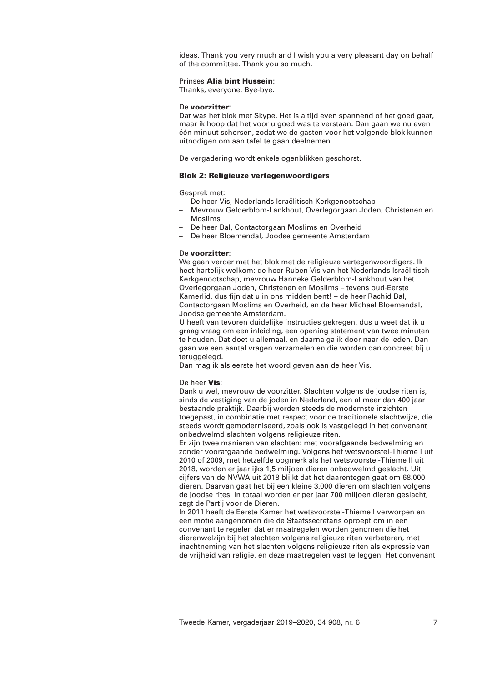ideas. Thank you very much and I wish you a very pleasant day on behalf of the committee. Thank you so much.

# Prinses **Alia bint Hussein**:

Thanks, everyone. Bye-bye.

### De **voorzitter**:

Dat was het blok met Skype. Het is altijd even spannend of het goed gaat, maar ik hoop dat het voor u goed was te verstaan. Dan gaan we nu even één minuut schorsen, zodat we de gasten voor het volgende blok kunnen uitnodigen om aan tafel te gaan deelnemen.

De vergadering wordt enkele ogenblikken geschorst.

## **Blok 2: Religieuze vertegenwoordigers**

Gesprek met:

- De heer Vis, Nederlands Israëlitisch Kerkgenootschap
- Mevrouw Gelderblom-Lankhout, Overlegorgaan Joden, Christenen en Moslims
- De heer Bal, Contactorgaan Moslims en Overheid
- De heer Bloemendal, Joodse gemeente Amsterdam

## De **voorzitter**:

We gaan verder met het blok met de religieuze vertegenwoordigers. Ik heet hartelijk welkom: de heer Ruben Vis van het Nederlands Israëlitisch Kerkgenootschap, mevrouw Hanneke Gelderblom-Lankhout van het Overlegorgaan Joden, Christenen en Moslims – tevens oud-Eerste Kamerlid, dus fijn dat u in ons midden bent! – de heer Rachid Bal, Contactorgaan Moslims en Overheid, en de heer Michael Bloemendal, Joodse gemeente Amsterdam.

U heeft van tevoren duidelijke instructies gekregen, dus u weet dat ik u graag vraag om een inleiding, een opening statement van twee minuten te houden. Dat doet u allemaal, en daarna ga ik door naar de leden. Dan gaan we een aantal vragen verzamelen en die worden dan concreet bij u teruggelegd.

Dan mag ik als eerste het woord geven aan de heer Vis.

## De heer **Vis**:

Dank u wel, mevrouw de voorzitter. Slachten volgens de joodse riten is, sinds de vestiging van de joden in Nederland, een al meer dan 400 jaar bestaande praktijk. Daarbij worden steeds de modernste inzichten toegepast, in combinatie met respect voor de traditionele slachtwijze, die steeds wordt gemoderniseerd, zoals ook is vastgelegd in het convenant onbedwelmd slachten volgens religieuze riten.

Er zijn twee manieren van slachten: met voorafgaande bedwelming en zonder voorafgaande bedwelming. Volgens het wetsvoorstel-Thieme I uit 2010 of 2009, met hetzelfde oogmerk als het wetsvoorstel-Thieme II uit 2018, worden er jaarlijks 1,5 miljoen dieren onbedwelmd geslacht. Uit cijfers van de NVWA uit 2018 blijkt dat het daarentegen gaat om 68.000 dieren. Daarvan gaat het bij een kleine 3.000 dieren om slachten volgens de joodse rites. In totaal worden er per jaar 700 miljoen dieren geslacht, zegt de Partij voor de Dieren.

In 2011 heeft de Eerste Kamer het wetsvoorstel-Thieme I verworpen en een motie aangenomen die de Staatssecretaris oproept om in een convenant te regelen dat er maatregelen worden genomen die het dierenwelzijn bij het slachten volgens religieuze riten verbeteren, met inachtneming van het slachten volgens religieuze riten als expressie van de vrijheid van religie, en deze maatregelen vast te leggen. Het convenant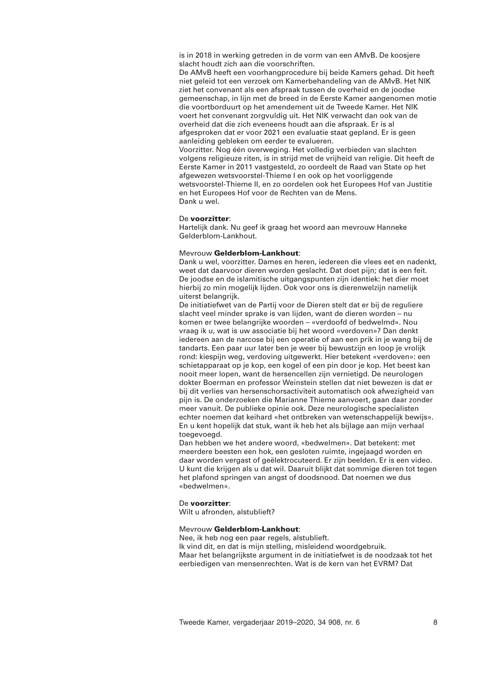is in 2018 in werking getreden in de vorm van een AMvB. De koosjere slacht houdt zich aan die voorschriften.

De AMvB heeft een voorhangprocedure bij beide Kamers gehad. Dit heeft niet geleid tot een verzoek om Kamerbehandeling van de AMvB. Het NIK ziet het convenant als een afspraak tussen de overheid en de joodse gemeenschap, in lijn met de breed in de Eerste Kamer aangenomen motie die voortborduurt op het amendement uit de Tweede Kamer. Het NIK voert het convenant zorgvuldig uit. Het NIK verwacht dan ook van de overheid dat die zich eveneens houdt aan die afspraak. Er is al afgesproken dat er voor 2021 een evaluatie staat gepland. Er is geen aanleiding gebleken om eerder te evalueren. Voorzitter. Nog één overweging. Het volledig verbieden van slachten

volgens religieuze riten, is in strijd met de vrijheid van religie. Dit heeft de Eerste Kamer in 2011 vastgesteld, zo oordeelt de Raad van State op het afgewezen wetsvoorstel-Thieme I en ook op het voorliggende wetsvoorstel-Thieme II, en zo oordelen ook het Europees Hof van Justitie en het Europees Hof voor de Rechten van de Mens. Dank u wel.

# De **voorzitter**:

Hartelijk dank. Nu geef ik graag het woord aan mevrouw Hanneke Gelderblom-Lankhout.

## Mevrouw **Gelderblom-Lankhout**:

Dank u wel, voorzitter. Dames en heren, iedereen die vlees eet en nadenkt, weet dat daarvoor dieren worden geslacht. Dat doet pijn; dat is een feit. De joodse en de islamitische uitgangspunten zijn identiek: het dier moet hierbij zo min mogelijk lijden. Ook voor ons is dierenwelzijn namelijk uiterst belangrijk.

De initiatiefwet van de Partij voor de Dieren stelt dat er bij de reguliere slacht veel minder sprake is van lijden, want de dieren worden – nu komen er twee belangrijke woorden – «verdoofd of bedwelmd». Nou vraag ik u, wat is uw associatie bij het woord «verdoven»? Dan denkt iedereen aan de narcose bij een operatie of aan een prik in je wang bij de tandarts. Een paar uur later ben je weer bij bewustzijn en loop je vrolijk rond: kiespijn weg, verdoving uitgewerkt. Hier betekent «verdoven»: een schietapparaat op je kop, een kogel of een pin door je kop. Het beest kan nooit meer lopen, want de hersencellen zijn vernietigd. De neurologen dokter Boerman en professor Weinstein stellen dat niet bewezen is dat er bij dit verlies van hersenschorsactiviteit automatisch ook afwezigheid van pijn is. De onderzoeken die Marianne Thieme aanvoert, gaan daar zonder meer vanuit. De publieke opinie ook. Deze neurologische specialisten echter noemen dat keihard «het ontbreken van wetenschappelijk bewijs». En u kent hopelijk dat stuk, want ik heb het als bijlage aan mijn verhaal toegevoegd.

Dan hebben we het andere woord, «bedwelmen». Dat betekent: met meerdere beesten een hok, een gesloten ruimte, ingejaagd worden en daar worden vergast of geëlektrocuteerd. Er zijn beelden. Er is een video. U kunt die krijgen als u dat wil. Daaruit blijkt dat sommige dieren tot tegen het plafond springen van angst of doodsnood. Dat noemen we dus «bedwelmen».

## De **voorzitter**:

Wilt u afronden, alstublieft?

### Mevrouw **Gelderblom-Lankhout**:

Nee, ik heb nog een paar regels, alstublieft. Ik vind dit, en dat is mijn stelling, misleidend woordgebruik. Maar het belangrijkste argument in de initiatiefwet is de noodzaak tot het eerbiedigen van mensenrechten. Wat is de kern van het EVRM? Dat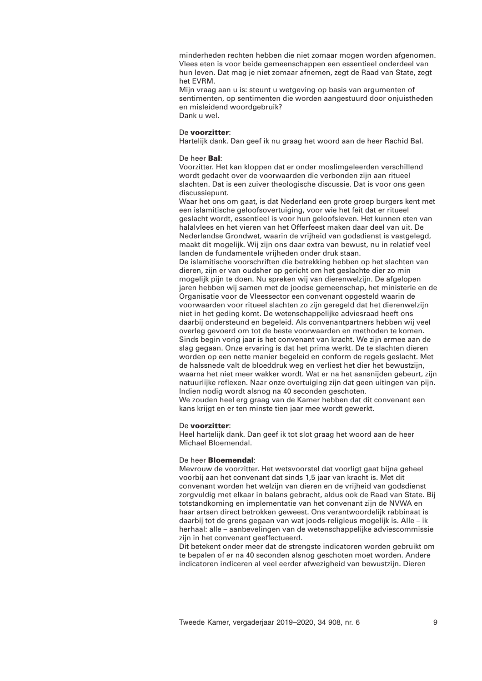minderheden rechten hebben die niet zomaar mogen worden afgenomen. Vlees eten is voor beide gemeenschappen een essentieel onderdeel van hun leven. Dat mag je niet zomaar afnemen, zegt de Raad van State, zegt het EVRM.

Mijn vraag aan u is: steunt u wetgeving op basis van argumenten of sentimenten, op sentimenten die worden aangestuurd door onjuistheden en misleidend woordgebruik? Dank u wel.

### De **voorzitter**:

Hartelijk dank. Dan geef ik nu graag het woord aan de heer Rachid Bal.

### De heer **Bal**:

Voorzitter. Het kan kloppen dat er onder moslimgeleerden verschillend wordt gedacht over de voorwaarden die verbonden zijn aan ritueel slachten. Dat is een zuiver theologische discussie. Dat is voor ons geen discussiepunt.

Waar het ons om gaat, is dat Nederland een grote groep burgers kent met een islamitische geloofsovertuiging, voor wie het feit dat er ritueel geslacht wordt, essentieel is voor hun geloofsleven. Het kunnen eten van halalvlees en het vieren van het Offerfeest maken daar deel van uit. De Nederlandse Grondwet, waarin de vrijheid van godsdienst is vastgelegd, maakt dit mogelijk. Wij zijn ons daar extra van bewust, nu in relatief veel landen de fundamentele vrijheden onder druk staan.

De islamitische voorschriften die betrekking hebben op het slachten van dieren, zijn er van oudsher op gericht om het geslachte dier zo min mogelijk pijn te doen. Nu spreken wij van dierenwelzijn. De afgelopen jaren hebben wij samen met de joodse gemeenschap, het ministerie en de Organisatie voor de Vleessector een convenant opgesteld waarin de voorwaarden voor ritueel slachten zo zijn geregeld dat het dierenwelzijn niet in het geding komt. De wetenschappelijke adviesraad heeft ons daarbij ondersteund en begeleid. Als convenantpartners hebben wij veel overleg gevoerd om tot de beste voorwaarden en methoden te komen. Sinds begin vorig jaar is het convenant van kracht. We zijn ermee aan de slag gegaan. Onze ervaring is dat het prima werkt. De te slachten dieren worden op een nette manier begeleid en conform de regels geslacht. Met de halssnede valt de bloeddruk weg en verliest het dier het bewustzijn, waarna het niet meer wakker wordt. Wat er na het aansnijden gebeurt, zijn natuurlijke reflexen. Naar onze overtuiging zijn dat geen uitingen van pijn. Indien nodig wordt alsnog na 40 seconden geschoten. We zouden heel erg graag van de Kamer hebben dat dit convenant een kans krijgt en er ten minste tien jaar mee wordt gewerkt.

#### De **voorzitter**:

Heel hartelijk dank. Dan geef ik tot slot graag het woord aan de heer Michael Bloemendal.

## De heer **Bloemendal**:

Mevrouw de voorzitter. Het wetsvoorstel dat voorligt gaat bijna geheel voorbij aan het convenant dat sinds 1,5 jaar van kracht is. Met dit convenant worden het welzijn van dieren en de vrijheid van godsdienst zorgvuldig met elkaar in balans gebracht, aldus ook de Raad van State. Bij totstandkoming en implementatie van het convenant zijn de NVWA en haar artsen direct betrokken geweest. Ons verantwoordelijk rabbinaat is daarbij tot de grens gegaan van wat joods-religieus mogelijk is. Alle – ik herhaal: alle – aanbevelingen van de wetenschappelijke adviescommissie zijn in het convenant geeffectueerd.

Dit betekent onder meer dat de strengste indicatoren worden gebruikt om te bepalen of er na 40 seconden alsnog geschoten moet worden. Andere indicatoren indiceren al veel eerder afwezigheid van bewustzijn. Dieren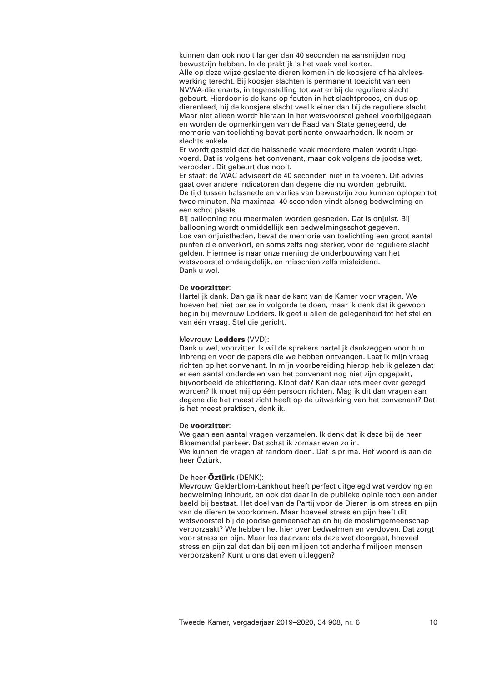kunnen dan ook nooit langer dan 40 seconden na aansnijden nog bewustzijn hebben. In de praktijk is het vaak veel korter. Alle op deze wijze geslachte dieren komen in de koosjere of halalvleeswerking terecht. Bij koosjer slachten is permanent toezicht van een NVWA-dierenarts, in tegenstelling tot wat er bij de reguliere slacht gebeurt. Hierdoor is de kans op fouten in het slachtproces, en dus op dierenleed, bij de koosjere slacht veel kleiner dan bij de reguliere slacht. Maar niet alleen wordt hieraan in het wetsvoorstel geheel voorbijgegaan en worden de opmerkingen van de Raad van State genegeerd, de memorie van toelichting bevat pertinente onwaarheden. Ik noem er slechts enkele.

Er wordt gesteld dat de halssnede vaak meerdere malen wordt uitgevoerd. Dat is volgens het convenant, maar ook volgens de joodse wet, verboden. Dit gebeurt dus nooit.

Er staat: de WAC adviseert de 40 seconden niet in te voeren. Dit advies gaat over andere indicatoren dan degene die nu worden gebruikt. De tijd tussen halssnede en verlies van bewustzijn zou kunnen oplopen tot twee minuten. Na maximaal 40 seconden vindt alsnog bedwelming en een schot plaats.

Bij ballooning zou meermalen worden gesneden. Dat is onjuist. Bij ballooning wordt onmiddellijk een bedwelmingsschot gegeven. Los van onjuistheden, bevat de memorie van toelichting een groot aantal punten die onverkort, en soms zelfs nog sterker, voor de reguliere slacht gelden. Hiermee is naar onze mening de onderbouwing van het wetsvoorstel ondeugdelijk, en misschien zelfs misleidend. Dank u wel.

### De **voorzitter**:

Hartelijk dank. Dan ga ik naar de kant van de Kamer voor vragen. We hoeven het niet per se in volgorde te doen, maar ik denk dat ik gewoon begin bij mevrouw Lodders. Ik geef u allen de gelegenheid tot het stellen van één vraag. Stel die gericht.

## Mevrouw **Lodders** (VVD):

Dank u wel, voorzitter. Ik wil de sprekers hartelijk dankzeggen voor hun inbreng en voor de papers die we hebben ontvangen. Laat ik mijn vraag richten op het convenant. In mijn voorbereiding hierop heb ik gelezen dat er een aantal onderdelen van het convenant nog niet zijn opgepakt, bijvoorbeeld de etikettering. Klopt dat? Kan daar iets meer over gezegd worden? Ik moet mij op één persoon richten. Mag ik dit dan vragen aan degene die het meest zicht heeft op de uitwerking van het convenant? Dat is het meest praktisch, denk ik.

## De **voorzitter**:

We gaan een aantal vragen verzamelen. Ik denk dat ik deze bij de heer Bloemendal parkeer. Dat schat ik zomaar even zo in. We kunnen de vragen at random doen. Dat is prima. Het woord is aan de heer Öztürk.

## De heer **Öztürk** (DENK):

Mevrouw Gelderblom-Lankhout heeft perfect uitgelegd wat verdoving en bedwelming inhoudt, en ook dat daar in de publieke opinie toch een ander beeld bij bestaat. Het doel van de Partij voor de Dieren is om stress en pijn van de dieren te voorkomen. Maar hoeveel stress en pijn heeft dit wetsvoorstel bij de joodse gemeenschap en bij de moslimgemeenschap veroorzaakt? We hebben het hier over bedwelmen en verdoven. Dat zorgt voor stress en pijn. Maar los daarvan: als deze wet doorgaat, hoeveel stress en pijn zal dat dan bij een miljoen tot anderhalf miljoen mensen veroorzaken? Kunt u ons dat even uitleggen?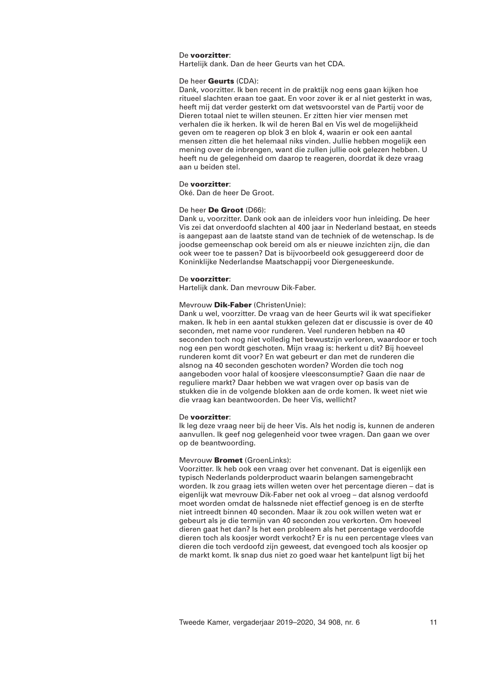## De **voorzitter**:

Hartelijk dank. Dan de heer Geurts van het CDA.

## De heer **Geurts** (CDA):

Dank, voorzitter. Ik ben recent in de praktijk nog eens gaan kijken hoe ritueel slachten eraan toe gaat. En voor zover ik er al niet gesterkt in was, heeft mij dat verder gesterkt om dat wetsvoorstel van de Partij voor de Dieren totaal niet te willen steunen. Er zitten hier vier mensen met verhalen die ik herken. Ik wil de heren Bal en Vis wel de mogelijkheid geven om te reageren op blok 3 en blok 4, waarin er ook een aantal mensen zitten die het helemaal niks vinden. Jullie hebben mogelijk een mening over de inbrengen, want die zullen jullie ook gelezen hebben. U heeft nu de gelegenheid om daarop te reageren, doordat ik deze vraag aan u beiden stel.

### De **voorzitter**:

Oké. Dan de heer De Groot.

## De heer **De Groot** (D66):

Dank u, voorzitter. Dank ook aan de inleiders voor hun inleiding. De heer Vis zei dat onverdoofd slachten al 400 jaar in Nederland bestaat, en steeds is aangepast aan de laatste stand van de techniek of de wetenschap. Is de joodse gemeenschap ook bereid om als er nieuwe inzichten zijn, die dan ook weer toe te passen? Dat is bijvoorbeeld ook gesuggereerd door de Koninklijke Nederlandse Maatschappij voor Diergeneeskunde.

## De **voorzitter**:

Hartelijk dank. Dan mevrouw Dik-Faber.

### Mevrouw **Dik-Faber** (ChristenUnie):

Dank u wel, voorzitter. De vraag van de heer Geurts wil ik wat specifieker maken. Ik heb in een aantal stukken gelezen dat er discussie is over de 40 seconden, met name voor runderen. Veel runderen hebben na 40 seconden toch nog niet volledig het bewustzijn verloren, waardoor er toch nog een pen wordt geschoten. Mijn vraag is: herkent u dit? Bij hoeveel runderen komt dit voor? En wat gebeurt er dan met de runderen die alsnog na 40 seconden geschoten worden? Worden die toch nog aangeboden voor halal of koosjere vleesconsumptie? Gaan die naar de reguliere markt? Daar hebben we wat vragen over op basis van de stukken die in de volgende blokken aan de orde komen. Ik weet niet wie die vraag kan beantwoorden. De heer Vis, wellicht?

#### De **voorzitter**:

Ik leg deze vraag neer bij de heer Vis. Als het nodig is, kunnen de anderen aanvullen. Ik geef nog gelegenheid voor twee vragen. Dan gaan we over op de beantwoording.

# Mevrouw **Bromet** (GroenLinks):

Voorzitter. Ik heb ook een vraag over het convenant. Dat is eigenlijk een typisch Nederlands polderproduct waarin belangen samengebracht worden. Ik zou graag iets willen weten over het percentage dieren – dat is eigenlijk wat mevrouw Dik-Faber net ook al vroeg – dat alsnog verdoofd moet worden omdat de halssnede niet effectief genoeg is en de sterfte niet intreedt binnen 40 seconden. Maar ik zou ook willen weten wat er gebeurt als je die termijn van 40 seconden zou verkorten. Om hoeveel dieren gaat het dan? Is het een probleem als het percentage verdoofde dieren toch als koosjer wordt verkocht? Er is nu een percentage vlees van dieren die toch verdoofd zijn geweest, dat evengoed toch als koosjer op de markt komt. Ik snap dus niet zo goed waar het kantelpunt ligt bij het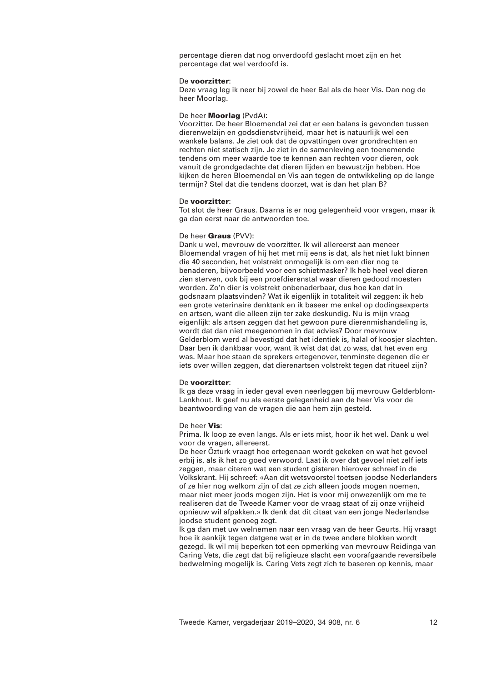percentage dieren dat nog onverdoofd geslacht moet zijn en het percentage dat wel verdoofd is.

#### De **voorzitter**:

Deze vraag leg ik neer bij zowel de heer Bal als de heer Vis. Dan nog de heer Moorlag.

### De heer **Moorlag** (PvdA):

Voorzitter. De heer Bloemendal zei dat er een balans is gevonden tussen dierenwelzijn en godsdienstvrijheid, maar het is natuurlijk wel een wankele balans. Je ziet ook dat de opvattingen over grondrechten en rechten niet statisch zijn. Je ziet in de samenleving een toenemende tendens om meer waarde toe te kennen aan rechten voor dieren, ook vanuit de grondgedachte dat dieren lijden en bewustzijn hebben. Hoe kijken de heren Bloemendal en Vis aan tegen de ontwikkeling op de lange termijn? Stel dat die tendens doorzet, wat is dan het plan B?

## De **voorzitter**:

Tot slot de heer Graus. Daarna is er nog gelegenheid voor vragen, maar ik ga dan eerst naar de antwoorden toe.

### De heer **Graus** (PVV):

Dank u wel, mevrouw de voorzitter. Ik wil allereerst aan meneer Bloemendal vragen of hij het met mij eens is dat, als het niet lukt binnen die 40 seconden, het volstrekt onmogelijk is om een dier nog te benaderen, bijvoorbeeld voor een schietmasker? Ik heb heel veel dieren zien sterven, ook bij een proefdierenstal waar dieren gedood moesten worden. Zo'n dier is volstrekt onbenaderbaar, dus hoe kan dat in godsnaam plaatsvinden? Wat ik eigenlijk in totaliteit wil zeggen: ik heb een grote veterinaire denktank en ik baseer me enkel op dodingsexperts en artsen, want die alleen zijn ter zake deskundig. Nu is mijn vraag eigenlijk: als artsen zeggen dat het gewoon pure dierenmishandeling is, wordt dat dan niet meegenomen in dat advies? Door mevrouw Gelderblom werd al bevestigd dat het identiek is, halal of koosjer slachten. Daar ben ik dankbaar voor, want ik wist dat dat zo was, dat het even erg was. Maar hoe staan de sprekers ertegenover, tenminste degenen die er iets over willen zeggen, dat dierenartsen volstrekt tegen dat ritueel zijn?

## De **voorzitter**:

Ik ga deze vraag in ieder geval even neerleggen bij mevrouw Gelderblom-Lankhout. Ik geef nu als eerste gelegenheid aan de heer Vis voor de beantwoording van de vragen die aan hem zijn gesteld.

## De heer **Vis**:

Prima. Ik loop ze even langs. Als er iets mist, hoor ik het wel. Dank u wel voor de vragen, allereerst.

De heer Özturk vraagt hoe ertegenaan wordt gekeken en wat het gevoel erbij is, als ik het zo goed verwoord. Laat ik over dat gevoel niet zelf iets zeggen, maar citeren wat een student gisteren hierover schreef in de Volkskrant. Hij schreef: «Aan dit wetsvoorstel toetsen joodse Nederlanders of ze hier nog welkom zijn of dat ze zich alleen joods mogen noemen, maar niet meer joods mogen zijn. Het is voor mij onwezenlijk om me te realiseren dat de Tweede Kamer voor de vraag staat of zij onze vrijheid opnieuw wil afpakken.» Ik denk dat dit citaat van een jonge Nederlandse joodse student genoeg zegt.

Ik ga dan met uw welnemen naar een vraag van de heer Geurts. Hij vraagt hoe ik aankijk tegen datgene wat er in de twee andere blokken wordt gezegd. Ik wil mij beperken tot een opmerking van mevrouw Reidinga van Caring Vets, die zegt dat bij religieuze slacht een voorafgaande reversibele bedwelming mogelijk is. Caring Vets zegt zich te baseren op kennis, maar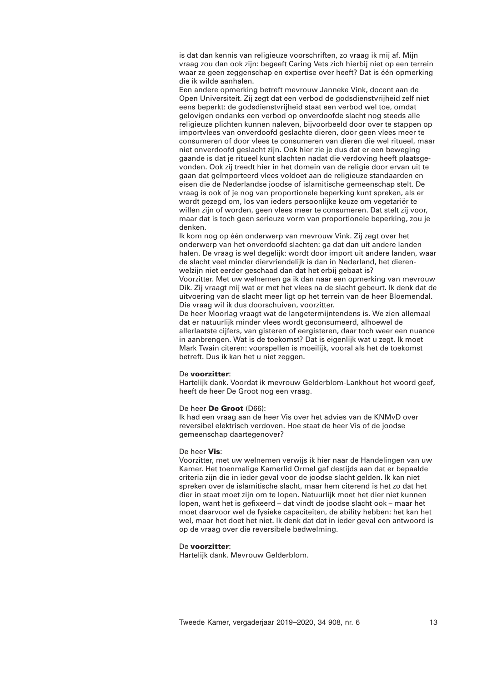is dat dan kennis van religieuze voorschriften, zo vraag ik mij af. Mijn vraag zou dan ook zijn: begeeft Caring Vets zich hierbij niet op een terrein waar ze geen zeggenschap en expertise over heeft? Dat is één opmerking die ik wilde aanhalen.

Een andere opmerking betreft mevrouw Janneke Vink, docent aan de Open Universiteit. Zij zegt dat een verbod de godsdienstvrijheid zelf niet eens beperkt: de godsdienstvrijheid staat een verbod wel toe, omdat gelovigen ondanks een verbod op onverdoofde slacht nog steeds alle religieuze plichten kunnen naleven, bijvoorbeeld door over te stappen op importvlees van onverdoofd geslachte dieren, door geen vlees meer te consumeren of door vlees te consumeren van dieren die wel ritueel, maar niet onverdoofd geslacht zijn. Ook hier zie je dus dat er een beweging gaande is dat je ritueel kunt slachten nadat die verdoving heeft plaatsgevonden. Ook zij treedt hier in het domein van de religie door ervan uit te gaan dat geïmporteerd vlees voldoet aan de religieuze standaarden en eisen die de Nederlandse joodse of islamitische gemeenschap stelt. De vraag is ook of je nog van proportionele beperking kunt spreken, als er wordt gezegd om, los van ieders persoonlijke keuze om vegetariër te willen zijn of worden, geen vlees meer te consumeren. Dat stelt zij voor, maar dat is toch geen serieuze vorm van proportionele beperking, zou je denken.

Ik kom nog op één onderwerp van mevrouw Vink. Zij zegt over het onderwerp van het onverdoofd slachten: ga dat dan uit andere landen halen. De vraag is wel degelijk: wordt door import uit andere landen, waar de slacht veel minder diervriendelijk is dan in Nederland, het dierenwelzijn niet eerder geschaad dan dat het erbij gebaat is?

Voorzitter. Met uw welnemen ga ik dan naar een opmerking van mevrouw Dik. Zij vraagt mij wat er met het vlees na de slacht gebeurt. Ik denk dat de uitvoering van de slacht meer ligt op het terrein van de heer Bloemendal. Die vraag wil ik dus doorschuiven, voorzitter.

De heer Moorlag vraagt wat de langetermijntendens is. We zien allemaal dat er natuurlijk minder vlees wordt geconsumeerd, alhoewel de allerlaatste cijfers, van gisteren of eergisteren, daar toch weer een nuance in aanbrengen. Wat is de toekomst? Dat is eigenlijk wat u zegt. Ik moet Mark Twain citeren: voorspellen is moeilijk, vooral als het de toekomst betreft. Dus ik kan het u niet zeggen.

### De **voorzitter**:

Hartelijk dank. Voordat ik mevrouw Gelderblom-Lankhout het woord geef, heeft de heer De Groot nog een vraag.

### De heer **De Groot** (D66):

Ik had een vraag aan de heer Vis over het advies van de KNMvD over reversibel elektrisch verdoven. Hoe staat de heer Vis of de joodse gemeenschap daartegenover?

## De heer **Vis**:

Voorzitter, met uw welnemen verwijs ik hier naar de Handelingen van uw Kamer. Het toenmalige Kamerlid Ormel gaf destijds aan dat er bepaalde criteria zijn die in ieder geval voor de joodse slacht gelden. Ik kan niet spreken over de islamitische slacht, maar hem citerend is het zo dat het dier in staat moet zijn om te lopen. Natuurlijk moet het dier niet kunnen lopen, want het is gefixeerd – dat vindt de joodse slacht ook – maar het moet daarvoor wel de fysieke capaciteiten, de ability hebben: het kan het wel, maar het doet het niet. Ik denk dat dat in ieder geval een antwoord is op de vraag over die reversibele bedwelming.

## De **voorzitter**:

Hartelijk dank. Mevrouw Gelderblom.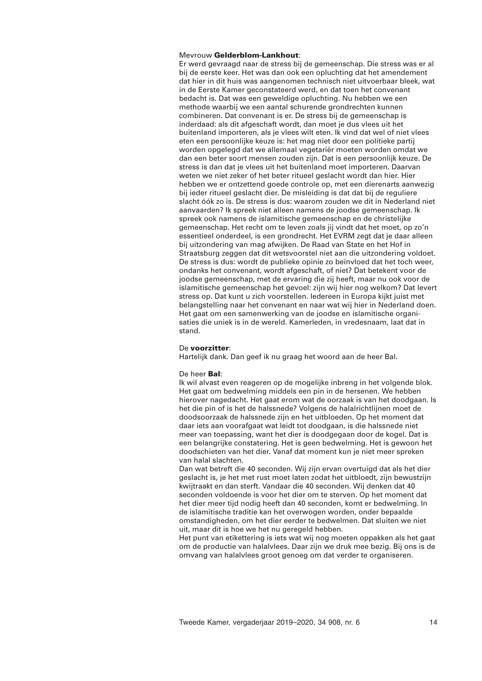## Mevrouw **Gelderblom-Lankhout**:

Er werd gevraagd naar de stress bij de gemeenschap. Die stress was er al bij de eerste keer. Het was dan ook een opluchting dat het amendement dat hier in dit huis was aangenomen technisch niet uitvoerbaar bleek, wat in de Eerste Kamer geconstateerd werd, en dat toen het convenant bedacht is. Dat was een geweldige opluchting. Nu hebben we een methode waarbij we een aantal schurende grondrechten kunnen combineren. Dat convenant is er. De stress bij de gemeenschap is inderdaad: als dit afgeschaft wordt, dan moet je dus vlees uit het buitenland importeren, als je vlees wilt eten. Ik vind dat wel of niet vlees eten een persoonlijke keuze is: het mag niet door een politieke partij worden opgelegd dat we allemaal vegetariër moeten worden omdat we dan een beter soort mensen zouden zijn. Dat is een persoonlijk keuze. De stress is dan dat je vlees uit het buitenland moet importeren. Daarvan weten we niet zeker of het beter ritueel geslacht wordt dan hier. Hier hebben we er ontzettend goede controle op, met een dierenarts aanwezig bij ieder ritueel geslacht dier. De misleiding is dat dat bij de reguliere slacht óók zo is. De stress is dus: waarom zouden we dit in Nederland niet aanvaarden? Ik spreek niet alleen namens de joodse gemeenschap. Ik spreek ook namens de islamitische gemeenschap en de christelijke gemeenschap. Het recht om te leven zoals jij vindt dat het moet, op zo'n essentieel onderdeel, is een grondrecht. Het EVRM zegt dat je daar alleen bij uitzondering van mag afwijken. De Raad van State en het Hof in Straatsburg zeggen dat dit wetsvoorstel niet aan die uitzondering voldoet. De stress is dus: wordt de publieke opinie zo beïnvloed dat het toch weer, ondanks het convenant, wordt afgeschaft, of niet? Dat betekent voor de joodse gemeenschap, met de ervaring die zij heeft, maar nu ook voor de islamitische gemeenschap het gevoel: zijn wij hier nog welkom? Dat levert stress op. Dat kunt u zich voorstellen. Iedereen in Europa kijkt juist met belangstelling naar het convenant en naar wat wij hier in Nederland doen. Het gaat om een samenwerking van de joodse en islamitische organisaties die uniek is in de wereld. Kamerleden, in vredesnaam, laat dat in stand.

### De **voorzitter**:

Hartelijk dank. Dan geef ik nu graag het woord aan de heer Bal.

### De heer **Bal**:

Ik wil alvast even reageren op de mogelijke inbreng in het volgende blok. Het gaat om bedwelming middels een pin in de hersenen. We hebben hierover nagedacht. Het gaat erom wat de oorzaak is van het doodgaan. Is het die pin of is het de halssnede? Volgens de halalrichtlijnen moet de doodsoorzaak de halssnede zijn en het uitbloeden. Op het moment dat daar iets aan voorafgaat wat leidt tot doodgaan, is die halssnede niet meer van toepassing, want het dier is doodgegaan door de kogel. Dat is een belangrijke constatering. Het is geen bedwelming. Het is gewoon het doodschieten van het dier. Vanaf dat moment kun je niet meer spreken van halal slachten.

Dan wat betreft die 40 seconden. Wij zijn ervan overtuigd dat als het dier geslacht is, je het met rust moet laten zodat het uitbloedt, zijn bewustzijn kwijtraakt en dan sterft. Vandaar die 40 seconden. Wij denken dat 40 seconden voldoende is voor het dier om te sterven. Op het moment dat het dier meer tijd nodig heeft dan 40 seconden, komt er bedwelming. In de islamitische traditie kan het overwogen worden, onder bepaalde omstandigheden, om het dier eerder te bedwelmen. Dat sluiten we niet uit, maar dit is hoe we het nu geregeld hebben.

Het punt van etikettering is iets wat wij nog moeten oppakken als het gaat om de productie van halalvlees. Daar zijn we druk mee bezig. Bij ons is de omvang van halalvlees groot genoeg om dat verder te organiseren.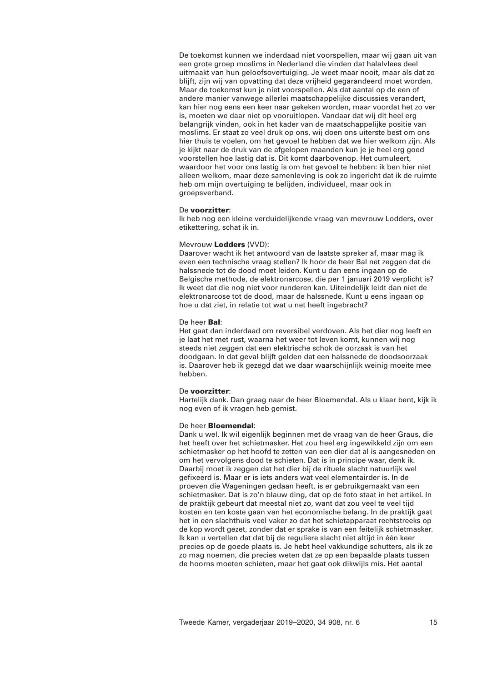De toekomst kunnen we inderdaad niet voorspellen, maar wij gaan uit van een grote groep moslims in Nederland die vinden dat halalvlees deel uitmaakt van hun geloofsovertuiging. Je weet maar nooit, maar als dat zo blijft, zijn wij van opvatting dat deze vrijheid gegarandeerd moet worden. Maar de toekomst kun je niet voorspellen. Als dat aantal op de een of andere manier vanwege allerlei maatschappelijke discussies verandert, kan hier nog eens een keer naar gekeken worden, maar voordat het zo ver is, moeten we daar niet op vooruitlopen. Vandaar dat wij dit heel erg belangrijk vinden, ook in het kader van de maatschappelijke positie van moslims. Er staat zo veel druk op ons, wij doen ons uiterste best om ons hier thuis te voelen, om het gevoel te hebben dat we hier welkom zijn. Als je kijkt naar de druk van de afgelopen maanden kun je je heel erg goed voorstellen hoe lastig dat is. Dit komt daarbovenop. Het cumuleert, waardoor het voor ons lastig is om het gevoel te hebben: ik ben hier niet alleen welkom, maar deze samenleving is ook zo ingericht dat ik de ruimte heb om mijn overtuiging te belijden, individueel, maar ook in groepsverband.

#### De **voorzitter**:

Ik heb nog een kleine verduidelijkende vraag van mevrouw Lodders, over etikettering, schat ik in.

## Mevrouw **Lodders** (VVD):

Daarover wacht ik het antwoord van de laatste spreker af, maar mag ik even een technische vraag stellen? Ik hoor de heer Bal net zeggen dat de halssnede tot de dood moet leiden. Kunt u dan eens ingaan op de Belgische methode, de elektronarcose, die per 1 januari 2019 verplicht is? Ik weet dat die nog niet voor runderen kan. Uiteindelijk leidt dan niet de elektronarcose tot de dood, maar de halssnede. Kunt u eens ingaan op hoe u dat ziet, in relatie tot wat u net heeft ingebracht?

### De heer **Bal**:

Het gaat dan inderdaad om reversibel verdoven. Als het dier nog leeft en je laat het met rust, waarna het weer tot leven komt, kunnen wij nog steeds niet zeggen dat een elektrische schok de oorzaak is van het doodgaan. In dat geval blijft gelden dat een halssnede de doodsoorzaak is. Daarover heb ik gezegd dat we daar waarschijnlijk weinig moeite mee hebben.

#### De **voorzitter**:

Hartelijk dank. Dan graag naar de heer Bloemendal. Als u klaar bent, kijk ik nog even of ik vragen heb gemist.

## De heer **Bloemendal**:

Dank u wel. Ik wil eigenlijk beginnen met de vraag van de heer Graus, die het heeft over het schietmasker. Het zou heel erg ingewikkeld zijn om een schietmasker op het hoofd te zetten van een dier dat al is aangesneden en om het vervolgens dood te schieten. Dat is in principe waar, denk ik. Daarbij moet ik zeggen dat het dier bij de rituele slacht natuurlijk wel gefixeerd is. Maar er is iets anders wat veel elementairder is. In de proeven die Wageningen gedaan heeft, is er gebruikgemaakt van een schietmasker. Dat is zo'n blauw ding, dat op de foto staat in het artikel. In de praktijk gebeurt dat meestal niet zo, want dat zou veel te veel tijd kosten en ten koste gaan van het economische belang. In de praktijk gaat het in een slachthuis veel vaker zo dat het schietapparaat rechtstreeks op de kop wordt gezet, zonder dat er sprake is van een feitelijk schietmasker. Ik kan u vertellen dat dat bij de reguliere slacht niet altijd in één keer precies op de goede plaats is. Je hebt heel vakkundige schutters, als ik ze zo mag noemen, die precies weten dat ze op een bepaalde plaats tussen de hoorns moeten schieten, maar het gaat ook dikwijls mis. Het aantal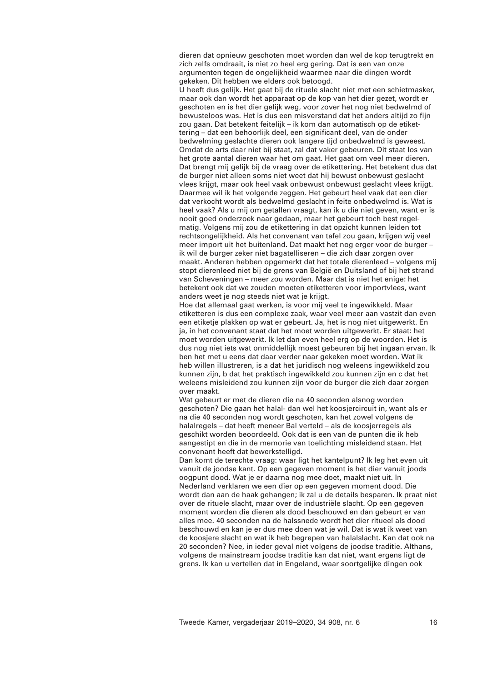dieren dat opnieuw geschoten moet worden dan wel de kop terugtrekt en zich zelfs omdraait, is niet zo heel erg gering. Dat is een van onze argumenten tegen de ongelijkheid waarmee naar die dingen wordt gekeken. Dit hebben we elders ook betoogd.

U heeft dus gelijk. Het gaat bij de rituele slacht niet met een schietmasker, maar ook dan wordt het apparaat op de kop van het dier gezet, wordt er geschoten en is het dier gelijk weg, voor zover het nog niet bedwelmd of bewusteloos was. Het is dus een misverstand dat het anders altijd zo fijn zou gaan. Dat betekent feitelijk – ik kom dan automatisch op de etikettering – dat een behoorlijk deel, een significant deel, van de onder bedwelming geslachte dieren ook langere tijd onbedwelmd is geweest. Omdat de arts daar niet bij staat, zal dat vaker gebeuren. Dit staat los van het grote aantal dieren waar het om gaat. Het gaat om veel meer dieren. Dat brengt mij gelijk bij de vraag over de etikettering. Het betekent dus dat de burger niet alleen soms niet weet dat hij bewust onbewust geslacht vlees krijgt, maar ook heel vaak onbewust onbewust geslacht vlees krijgt. Daarmee wil ik het volgende zeggen. Het gebeurt heel vaak dat een dier dat verkocht wordt als bedwelmd geslacht in feite onbedwelmd is. Wat is heel vaak? Als u mij om getallen vraagt, kan ik u die niet geven, want er is nooit goed onderzoek naar gedaan, maar het gebeurt toch best regelmatig. Volgens mij zou de etikettering in dat opzicht kunnen leiden tot rechtsongelijkheid. Als het convenant van tafel zou gaan, krijgen wij veel meer import uit het buitenland. Dat maakt het nog erger voor de burger – ik wil de burger zeker niet bagatelliseren – die zich daar zorgen over maakt. Anderen hebben opgemerkt dat het totale dierenleed – volgens mij stopt dierenleed niet bij de grens van België en Duitsland of bij het strand van Scheveningen – meer zou worden. Maar dat is niet het enige: het betekent ook dat we zouden moeten etiketteren voor importvlees, want anders weet je nog steeds niet wat je krijgt.

Hoe dat allemaal gaat werken, is voor mij veel te ingewikkeld. Maar etiketteren is dus een complexe zaak, waar veel meer aan vastzit dan even een etiketje plakken op wat er gebeurt. Ja, het is nog niet uitgewerkt. En ja, in het convenant staat dat het moet worden uitgewerkt. Er staat: het moet worden uitgewerkt. Ik let dan even heel erg op de woorden. Het is dus nog niet iets wat onmiddellijk moest gebeuren bij het ingaan ervan. Ik ben het met u eens dat daar verder naar gekeken moet worden. Wat ik heb willen illustreren, is a dat het juridisch nog weleens ingewikkeld zou kunnen zijn, b dat het praktisch ingewikkeld zou kunnen zijn en c dat het weleens misleidend zou kunnen zijn voor de burger die zich daar zorgen over maakt.

Wat gebeurt er met de dieren die na 40 seconden alsnog worden geschoten? Die gaan het halal- dan wel het koosjercircuit in, want als er na die 40 seconden nog wordt geschoten, kan het zowel volgens de halalregels – dat heeft meneer Bal verteld – als de koosjerregels als geschikt worden beoordeeld. Ook dat is een van de punten die ik heb aangestipt en die in de memorie van toelichting misleidend staan. Het convenant heeft dat bewerkstelligd.

Dan komt de terechte vraag: waar ligt het kantelpunt? Ik leg het even uit vanuit de joodse kant. Op een gegeven moment is het dier vanuit joods oogpunt dood. Wat je er daarna nog mee doet, maakt niet uit. In Nederland verklaren we een dier op een gegeven moment dood. Die wordt dan aan de haak gehangen; ik zal u de details besparen. Ik praat niet over de rituele slacht, maar over de industriële slacht. Op een gegeven moment worden die dieren als dood beschouwd en dan gebeurt er van alles mee. 40 seconden na de halssnede wordt het dier ritueel als dood beschouwd en kan je er dus mee doen wat je wil. Dat is wat ik weet van de koosjere slacht en wat ik heb begrepen van halalslacht. Kan dat ook na 20 seconden? Nee, in ieder geval niet volgens de joodse traditie. Althans, volgens de mainstream joodse traditie kan dat niet, want ergens ligt de grens. Ik kan u vertellen dat in Engeland, waar soortgelijke dingen ook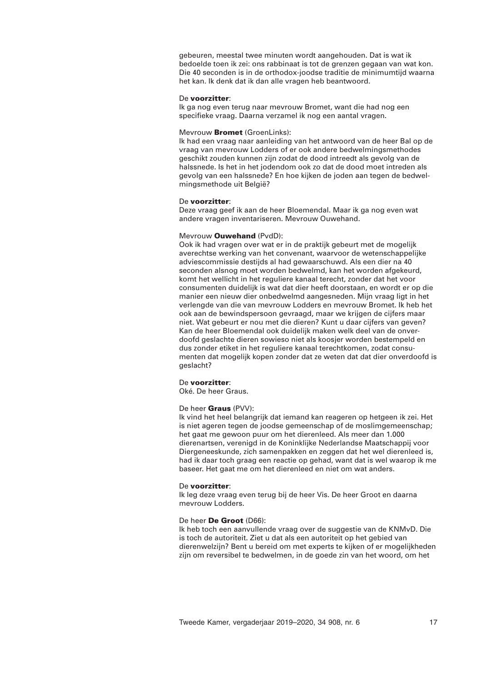gebeuren, meestal twee minuten wordt aangehouden. Dat is wat ik bedoelde toen ik zei: ons rabbinaat is tot de grenzen gegaan van wat kon. Die 40 seconden is in de orthodox-joodse traditie de minimumtijd waarna het kan. Ik denk dat ik dan alle vragen heb beantwoord.

### De **voorzitter**:

Ik ga nog even terug naar mevrouw Bromet, want die had nog een specifieke vraag. Daarna verzamel ik nog een aantal vragen.

## Mevrouw **Bromet** (GroenLinks):

Ik had een vraag naar aanleiding van het antwoord van de heer Bal op de vraag van mevrouw Lodders of er ook andere bedwelmingsmethodes geschikt zouden kunnen zijn zodat de dood intreedt als gevolg van de halssnede. Is het in het jodendom ook zo dat de dood moet intreden als gevolg van een halssnede? En hoe kijken de joden aan tegen de bedwelmingsmethode uit België?

## De **voorzitter**:

Deze vraag geef ik aan de heer Bloemendal. Maar ik ga nog even wat andere vragen inventariseren. Mevrouw Ouwehand.

## Mevrouw **Ouwehand** (PvdD):

Ook ik had vragen over wat er in de praktijk gebeurt met de mogelijk averechtse werking van het convenant, waarvoor de wetenschappelijke adviescommissie destijds al had gewaarschuwd. Als een dier na 40 seconden alsnog moet worden bedwelmd, kan het worden afgekeurd, komt het wellicht in het reguliere kanaal terecht, zonder dat het voor consumenten duidelijk is wat dat dier heeft doorstaan, en wordt er op die manier een nieuw dier onbedwelmd aangesneden. Mijn vraag ligt in het verlengde van die van mevrouw Lodders en mevrouw Bromet. Ik heb het ook aan de bewindspersoon gevraagd, maar we krijgen de cijfers maar niet. Wat gebeurt er nou met die dieren? Kunt u daar cijfers van geven? Kan de heer Bloemendal ook duidelijk maken welk deel van de onverdoofd geslachte dieren sowieso niet als koosjer worden bestempeld en dus zonder etiket in het reguliere kanaal terechtkomen, zodat consumenten dat mogelijk kopen zonder dat ze weten dat dat dier onverdoofd is geslacht?

# De **voorzitter**:

Oké. De heer Graus.

## De heer **Graus** (PVV):

Ik vind het heel belangrijk dat iemand kan reageren op hetgeen ik zei. Het is niet ageren tegen de joodse gemeenschap of de moslimgemeenschap; het gaat me gewoon puur om het dierenleed. Als meer dan 1.000 dierenartsen, verenigd in de Koninklijke Nederlandse Maatschappij voor Diergeneeskunde, zich samenpakken en zeggen dat het wel dierenleed is, had ik daar toch graag een reactie op gehad, want dat is wel waarop ik me baseer. Het gaat me om het dierenleed en niet om wat anders.

## De **voorzitter**:

Ik leg deze vraag even terug bij de heer Vis. De heer Groot en daarna mevrouw Lodders.

## De heer **De Groot** (D66):

Ik heb toch een aanvullende vraag over de suggestie van de KNMvD. Die is toch de autoriteit. Ziet u dat als een autoriteit op het gebied van dierenwelzijn? Bent u bereid om met experts te kijken of er mogelijkheden zijn om reversibel te bedwelmen, in de goede zin van het woord, om het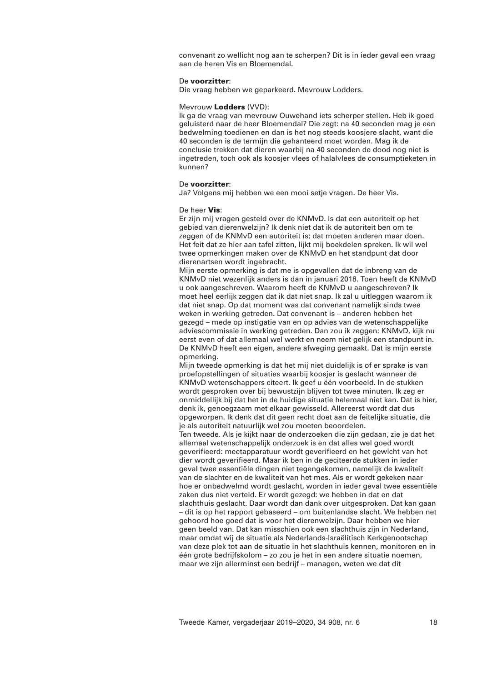convenant zo wellicht nog aan te scherpen? Dit is in ieder geval een vraag aan de heren Vis en Bloemendal.

## De **voorzitter**:

Die vraag hebben we geparkeerd. Mevrouw Lodders.

### Mevrouw **Lodders** (VVD):

Ik ga de vraag van mevrouw Ouwehand iets scherper stellen. Heb ik goed geluisterd naar de heer Bloemendal? Die zegt: na 40 seconden mag je een bedwelming toedienen en dan is het nog steeds koosjere slacht, want die 40 seconden is de termijn die gehanteerd moet worden. Mag ik de conclusie trekken dat dieren waarbij na 40 seconden de dood nog niet is ingetreden, toch ook als koosjer vlees of halalvlees de consumptieketen in kunnen?

## De **voorzitter**:

Ja? Volgens mij hebben we een mooi setje vragen. De heer Vis.

### De heer **Vis**:

Er zijn mij vragen gesteld over de KNMvD. Is dat een autoriteit op het gebied van dierenwelzijn? Ik denk niet dat ik de autoriteit ben om te zeggen of de KNMvD een autoriteit is; dat moeten anderen maar doen. Het feit dat ze hier aan tafel zitten, lijkt mij boekdelen spreken. Ik wil wel twee opmerkingen maken over de KNMvD en het standpunt dat door dierenartsen wordt ingebracht.

Mijn eerste opmerking is dat me is opgevallen dat de inbreng van de KNMvD niet wezenlijk anders is dan in januari 2018. Toen heeft de KNMvD u ook aangeschreven. Waarom heeft de KNMvD u aangeschreven? Ik moet heel eerlijk zeggen dat ik dat niet snap. Ik zal u uitleggen waarom ik dat niet snap. Op dat moment was dat convenant namelijk sinds twee weken in werking getreden. Dat convenant is – anderen hebben het gezegd – mede op instigatie van en op advies van de wetenschappelijke adviescommissie in werking getreden. Dan zou ik zeggen: KNMvD, kijk nu eerst even of dat allemaal wel werkt en neem niet gelijk een standpunt in. De KNMvD heeft een eigen, andere afweging gemaakt. Dat is mijn eerste opmerking.

Mijn tweede opmerking is dat het mij niet duidelijk is of er sprake is van proefopstellingen of situaties waarbij koosjer is geslacht wanneer de KNMvD wetenschappers citeert. Ik geef u één voorbeeld. In de stukken wordt gesproken over bij bewustzijn blijven tot twee minuten. Ik zeg er onmiddellijk bij dat het in de huidige situatie helemaal niet kan. Dat is hier, denk ik, genoegzaam met elkaar gewisseld. Allereerst wordt dat dus opgeworpen. Ik denk dat dit geen recht doet aan de feitelijke situatie, die je als autoriteit natuurlijk wel zou moeten beoordelen.

Ten tweede. Als je kijkt naar de onderzoeken die zijn gedaan, zie je dat het allemaal wetenschappelijk onderzoek is en dat alles wel goed wordt geverifieerd: meetapparatuur wordt geverifieerd en het gewicht van het dier wordt geverifieerd. Maar ik ben in de geciteerde stukken in ieder geval twee essentiële dingen niet tegengekomen, namelijk de kwaliteit van de slachter en de kwaliteit van het mes. Als er wordt gekeken naar hoe er onbedwelmd wordt geslacht, worden in ieder geval twee essentiële zaken dus niet verteld. Er wordt gezegd: we hebben in dat en dat slachthuis geslacht. Daar wordt dan dank over uitgesproken. Dat kan gaan – dit is op het rapport gebaseerd – om buitenlandse slacht. We hebben net gehoord hoe goed dat is voor het dierenwelzijn. Daar hebben we hier geen beeld van. Dat kan misschien ook een slachthuis zijn in Nederland, maar omdat wij de situatie als Nederlands-Israëlitisch Kerkgenootschap van deze plek tot aan de situatie in het slachthuis kennen, monitoren en in één grote bedrijfskolom – zo zou je het in een andere situatie noemen, maar we zijn allerminst een bedrijf – managen, weten we dat dit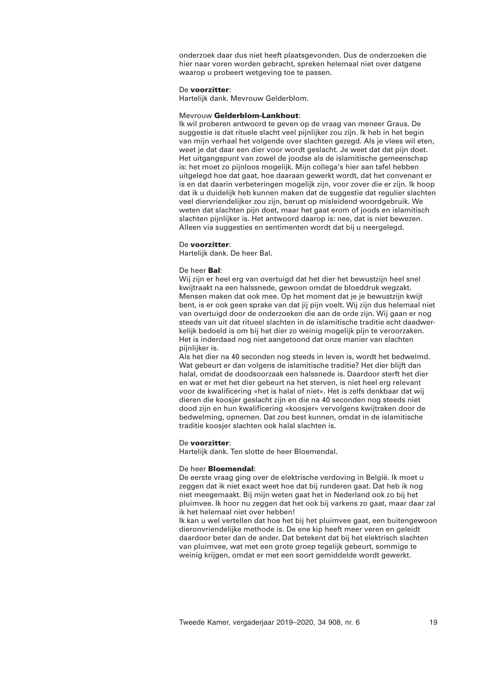onderzoek daar dus niet heeft plaatsgevonden. Dus de onderzoeken die hier naar voren worden gebracht, spreken helemaal niet over datgene waarop u probeert wetgeving toe te passen.

### De **voorzitter**:

Hartelijk dank. Mevrouw Gelderblom.

### Mevrouw **Gelderblom-Lankhout**:

Ik wil proberen antwoord te geven op de vraag van meneer Graus. De suggestie is dat rituele slacht veel pijnlijker zou zijn. Ik heb in het begin van mijn verhaal het volgende over slachten gezegd. Als je vlees wil eten, weet je dat daar een dier voor wordt geslacht. Je weet dat dat pijn doet. Het uitgangspunt van zowel de joodse als de islamitische gemeenschap is: het moet zo pijnloos mogelijk. Mijn collega's hier aan tafel hebben uitgelegd hoe dat gaat, hoe daaraan gewerkt wordt, dat het convenant er is en dat daarin verbeteringen mogelijk zijn, voor zover die er zijn. Ik hoop dat ik u duidelijk heb kunnen maken dat de suggestie dat regulier slachten veel diervriendelijker zou zijn, berust op misleidend woordgebruik. We weten dat slachten pijn doet, maar het gaat erom of joods en islamitisch slachten pijnlijker is. Het antwoord daarop is: nee, dat is niet bewezen. Alleen via suggesties en sentimenten wordt dat bij u neergelegd.

### De **voorzitter**:

Hartelijk dank. De heer Bal.

## De heer **Bal**:

Wij zijn er heel erg van overtuigd dat het dier het bewustzijn heel snel kwijtraakt na een halssnede, gewoon omdat de bloeddruk wegzakt. Mensen maken dat ook mee. Op het moment dat je je bewustzijn kwijt bent, is er ook geen sprake van dat jij pijn voelt. Wij zijn dus helemaal niet van overtuigd door de onderzoeken die aan de orde zijn. Wij gaan er nog steeds van uit dat ritueel slachten in de islamitische traditie echt daadwerkelijk bedoeld is om bij het dier zo weinig mogelijk pijn te veroorzaken. Het is inderdaad nog niet aangetoond dat onze manier van slachten pijnlijker is.

Als het dier na 40 seconden nog steeds in leven is, wordt het bedwelmd. Wat gebeurt er dan volgens de islamitische traditie? Het dier blijft dan halal, omdat de doodsoorzaak een halssnede is. Daardoor sterft het dier en wat er met het dier gebeurt na het sterven, is niet heel erg relevant voor de kwalificering «het is halal of niet». Het is zelfs denkbaar dat wij dieren die koosjer geslacht zijn en die na 40 seconden nog steeds niet dood zijn en hun kwalificering «koosjer» vervolgens kwijtraken door de bedwelming, opnemen. Dat zou best kunnen, omdat in de islamitische traditie koosjer slachten ook halal slachten is.

#### De **voorzitter**:

Hartelijk dank. Ten slotte de heer Bloemendal.

#### De heer **Bloemendal**:

De eerste vraag ging over de elektrische verdoving in België. Ik moet u zeggen dat ik niet exact weet hoe dat bij runderen gaat. Dat heb ik nog niet meegemaakt. Bij mijn weten gaat het in Nederland ook zo bij het pluimvee. Ik hoor nu zeggen dat het ook bij varkens zo gaat, maar daar zal ik het helemaal niet over hebben!

Ik kan u wel vertellen dat hoe het bij het pluimvee gaat, een buitengewoon dieronvriendelijke methode is. De ene kip heeft meer veren en geleidt daardoor beter dan de ander. Dat betekent dat bij het elektrisch slachten van pluimvee, wat met een grote groep tegelijk gebeurt, sommige te weinig krijgen, omdat er met een soort gemiddelde wordt gewerkt.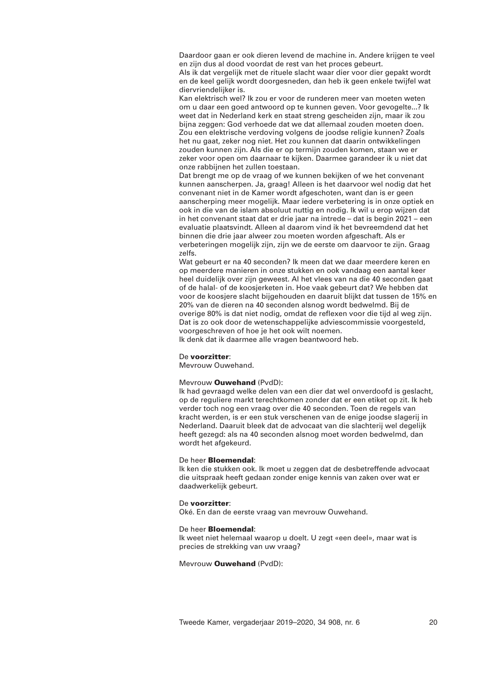Daardoor gaan er ook dieren levend de machine in. Andere krijgen te veel en zijn dus al dood voordat de rest van het proces gebeurt.

Als ik dat vergelijk met de rituele slacht waar dier voor dier gepakt wordt en de keel gelijk wordt doorgesneden, dan heb ik geen enkele twijfel wat diervriendelijker is.

Kan elektrisch wel? Ik zou er voor de runderen meer van moeten weten om u daar een goed antwoord op te kunnen geven. Voor gevogelte...? Ik weet dat in Nederland kerk en staat streng gescheiden zijn, maar ik zou bijna zeggen: God verhoede dat we dat allemaal zouden moeten doen. Zou een elektrische verdoving volgens de joodse religie kunnen? Zoals het nu gaat, zeker nog niet. Het zou kunnen dat daarin ontwikkelingen zouden kunnen zijn. Als die er op termijn zouden komen, staan we er zeker voor open om daarnaar te kijken. Daarmee garandeer ik u niet dat onze rabbijnen het zullen toestaan.

Dat brengt me op de vraag of we kunnen bekijken of we het convenant kunnen aanscherpen. Ja, graag! Alleen is het daarvoor wel nodig dat het convenant niet in de Kamer wordt afgeschoten, want dan is er geen aanscherping meer mogelijk. Maar iedere verbetering is in onze optiek en ook in die van de islam absoluut nuttig en nodig. Ik wil u erop wijzen dat in het convenant staat dat er drie jaar na intrede – dat is begin 2021 – een evaluatie plaatsvindt. Alleen al daarom vind ik het bevreemdend dat het binnen die drie jaar alweer zou moeten worden afgeschaft. Als er verbeteringen mogelijk zijn, zijn we de eerste om daarvoor te zijn. Graag zelfs.

Wat gebeurt er na 40 seconden? Ik meen dat we daar meerdere keren en op meerdere manieren in onze stukken en ook vandaag een aantal keer heel duidelijk over zijn geweest. Al het vlees van na die 40 seconden gaat of de halal- of de koosjerketen in. Hoe vaak gebeurt dat? We hebben dat voor de koosjere slacht bijgehouden en daaruit blijkt dat tussen de 15% en 20% van de dieren na 40 seconden alsnog wordt bedwelmd. Bij de overige 80% is dat niet nodig, omdat de reflexen voor die tijd al weg zijn. Dat is zo ook door de wetenschappelijke adviescommissie voorgesteld, voorgeschreven of hoe je het ook wilt noemen.

Ik denk dat ik daarmee alle vragen beantwoord heb.

## De **voorzitter**:

Mevrouw Ouwehand.

# Mevrouw **Ouwehand** (PvdD):

Ik had gevraagd welke delen van een dier dat wel onverdoofd is geslacht, op de reguliere markt terechtkomen zonder dat er een etiket op zit. Ik heb verder toch nog een vraag over die 40 seconden. Toen de regels van kracht werden, is er een stuk verschenen van de enige joodse slagerij in Nederland. Daaruit bleek dat de advocaat van die slachterij wel degelijk heeft gezegd: als na 40 seconden alsnog moet worden bedwelmd, dan wordt het afgekeurd.

## De heer **Bloemendal**:

Ik ken die stukken ook. Ik moet u zeggen dat de desbetreffende advocaat die uitspraak heeft gedaan zonder enige kennis van zaken over wat er daadwerkelijk gebeurt.

## De **voorzitter**:

Oké. En dan de eerste vraag van mevrouw Ouwehand.

### De heer **Bloemendal**:

Ik weet niet helemaal waarop u doelt. U zegt «een deel», maar wat is precies de strekking van uw vraag?

## Mevrouw **Ouwehand** (PvdD):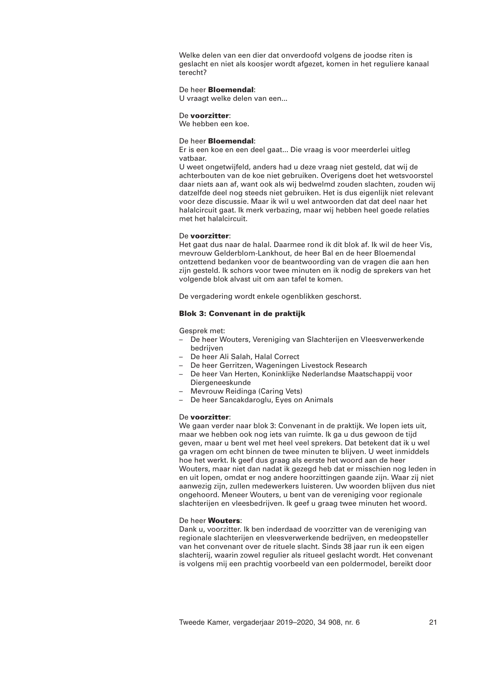Welke delen van een dier dat onverdoofd volgens de joodse riten is geslacht en niet als koosjer wordt afgezet, komen in het reguliere kanaal terecht?

## De heer **Bloemendal**:

U vraagt welke delen van een...

### De **voorzitter**:

We hebben een koe.

## De heer **Bloemendal**:

Er is een koe en een deel gaat... Die vraag is voor meerderlei uitleg vatbaar.

U weet ongetwijfeld, anders had u deze vraag niet gesteld, dat wij de achterbouten van de koe niet gebruiken. Overigens doet het wetsvoorstel daar niets aan af, want ook als wij bedwelmd zouden slachten, zouden wij datzelfde deel nog steeds niet gebruiken. Het is dus eigenlijk niet relevant voor deze discussie. Maar ik wil u wel antwoorden dat dat deel naar het halalcircuit gaat. Ik merk verbazing, maar wij hebben heel goede relaties met het halalcircuit.

# De **voorzitter**:

Het gaat dus naar de halal. Daarmee rond ik dit blok af. Ik wil de heer Vis, mevrouw Gelderblom-Lankhout, de heer Bal en de heer Bloemendal ontzettend bedanken voor de beantwoording van de vragen die aan hen zijn gesteld. Ik schors voor twee minuten en ik nodig de sprekers van het volgende blok alvast uit om aan tafel te komen.

De vergadering wordt enkele ogenblikken geschorst.

# **Blok 3: Convenant in de praktijk**

Gesprek met:

- De heer Wouters, Vereniging van Slachterijen en Vleesverwerkende bedrijven
- De heer Ali Salah, Halal Correct
- De heer Gerritzen, Wageningen Livestock Research
- De heer Van Herten, Koninklijke Nederlandse Maatschappij voor Diergeneeskunde
- Mevrouw Reidinga (Caring Vets)
- De heer Sancakdaroglu, Eyes on Animals

#### De **voorzitter**:

We gaan verder naar blok 3: Convenant in de praktijk. We lopen iets uit, maar we hebben ook nog iets van ruimte. Ik ga u dus gewoon de tijd geven, maar u bent wel met heel veel sprekers. Dat betekent dat ik u wel ga vragen om echt binnen de twee minuten te blijven. U weet inmiddels hoe het werkt. Ik geef dus graag als eerste het woord aan de heer Wouters, maar niet dan nadat ik gezegd heb dat er misschien nog leden in en uit lopen, omdat er nog andere hoorzittingen gaande zijn. Waar zij niet aanwezig zijn, zullen medewerkers luisteren. Uw woorden blijven dus niet ongehoord. Meneer Wouters, u bent van de vereniging voor regionale slachterijen en vleesbedrijven. Ik geef u graag twee minuten het woord.

## De heer **Wouters**:

Dank u, voorzitter. Ik ben inderdaad de voorzitter van de vereniging van regionale slachterijen en vleesverwerkende bedrijven, en medeopsteller van het convenant over de rituele slacht. Sinds 38 jaar run ik een eigen slachterij, waarin zowel regulier als ritueel geslacht wordt. Het convenant is volgens mij een prachtig voorbeeld van een poldermodel, bereikt door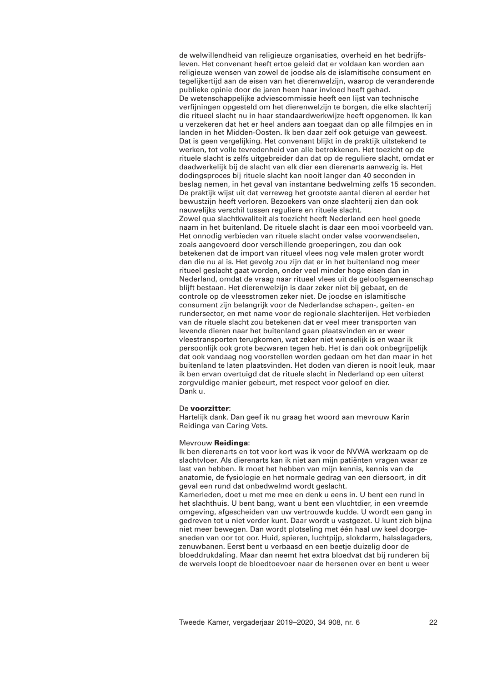de welwillendheid van religieuze organisaties, overheid en het bedrijfsleven. Het convenant heeft ertoe geleid dat er voldaan kan worden aan religieuze wensen van zowel de joodse als de islamitische consument en tegelijkertijd aan de eisen van het dierenwelzijn, waarop de veranderende publieke opinie door de jaren heen haar invloed heeft gehad. De wetenschappelijke adviescommissie heeft een lijst van technische verfijningen opgesteld om het dierenwelzijn te borgen, die elke slachterij die ritueel slacht nu in haar standaardwerkwijze heeft opgenomen. Ik kan u verzekeren dat het er heel anders aan toegaat dan op alle filmpjes en in landen in het Midden-Oosten. Ik ben daar zelf ook getuige van geweest. Dat is geen vergelijking. Het convenant blijkt in de praktijk uitstekend te werken, tot volle tevredenheid van alle betrokkenen. Het toezicht op de rituele slacht is zelfs uitgebreider dan dat op de reguliere slacht, omdat er daadwerkelijk bij de slacht van elk dier een dierenarts aanwezig is. Het dodingsproces bij rituele slacht kan nooit langer dan 40 seconden in beslag nemen, in het geval van instantane bedwelming zelfs 15 seconden. De praktijk wijst uit dat verreweg het grootste aantal dieren al eerder het bewustzijn heeft verloren. Bezoekers van onze slachterij zien dan ook nauwelijks verschil tussen reguliere en rituele slacht. Zowel qua slachtkwaliteit als toezicht heeft Nederland een heel goede naam in het buitenland. De rituele slacht is daar een mooi voorbeeld van. Het onnodig verbieden van rituele slacht onder valse voorwendselen, zoals aangevoerd door verschillende groeperingen, zou dan ook betekenen dat de import van ritueel vlees nog vele malen groter wordt dan die nu al is. Het gevolg zou zijn dat er in het buitenland nog meer ritueel geslacht gaat worden, onder veel minder hoge eisen dan in Nederland, omdat de vraag naar ritueel vlees uit de geloofsgemeenschap blijft bestaan. Het dierenwelzijn is daar zeker niet bij gebaat, en de controle op de vleesstromen zeker niet. De joodse en islamitische consument zijn belangrijk voor de Nederlandse schapen-, geiten- en rundersector, en met name voor de regionale slachterijen. Het verbieden van de rituele slacht zou betekenen dat er veel meer transporten van levende dieren naar het buitenland gaan plaatsvinden en er weer vleestransporten terugkomen, wat zeker niet wenselijk is en waar ik persoonlijk ook grote bezwaren tegen heb. Het is dan ook onbegrijpelijk dat ook vandaag nog voorstellen worden gedaan om het dan maar in het buitenland te laten plaatsvinden. Het doden van dieren is nooit leuk, maar ik ben ervan overtuigd dat de rituele slacht in Nederland op een uiterst zorgvuldige manier gebeurt, met respect voor geloof en dier. Dank u.

### De **voorzitter**:

Hartelijk dank. Dan geef ik nu graag het woord aan mevrouw Karin Reidinga van Caring Vets.

#### Mevrouw **Reidinga**:

Ik ben dierenarts en tot voor kort was ik voor de NVWA werkzaam op de slachtvloer. Als dierenarts kan ik niet aan mijn patiënten vragen waar ze last van hebben. Ik moet het hebben van mijn kennis, kennis van de anatomie, de fysiologie en het normale gedrag van een diersoort, in dit geval een rund dat onbedwelmd wordt geslacht.

Kamerleden, doet u met me mee en denk u eens in. U bent een rund in het slachthuis. U bent bang, want u bent een vluchtdier, in een vreemde omgeving, afgescheiden van uw vertrouwde kudde. U wordt een gang in gedreven tot u niet verder kunt. Daar wordt u vastgezet. U kunt zich bijna niet meer bewegen. Dan wordt plotseling met één haal uw keel doorgesneden van oor tot oor. Huid, spieren, luchtpijp, slokdarm, halsslagaders, zenuwbanen. Eerst bent u verbaasd en een beetje duizelig door de bloeddrukdaling. Maar dan neemt het extra bloedvat dat bij runderen bij de wervels loopt de bloedtoevoer naar de hersenen over en bent u weer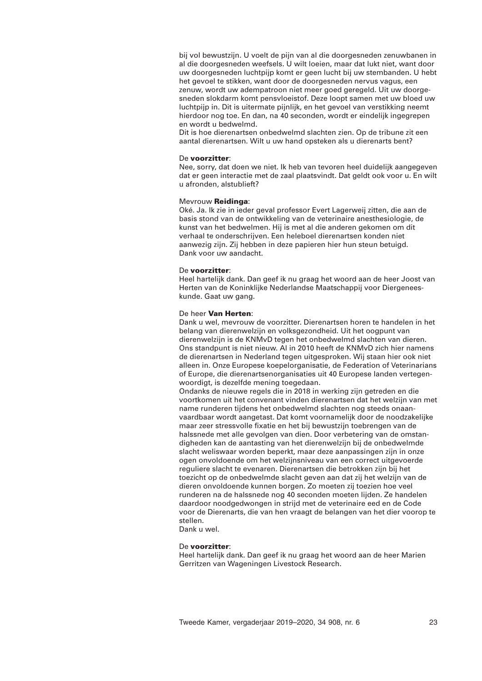bij vol bewustzijn. U voelt de pijn van al die doorgesneden zenuwbanen in al die doorgesneden weefsels. U wilt loeien, maar dat lukt niet, want door uw doorgesneden luchtpijp komt er geen lucht bij uw stembanden. U hebt het gevoel te stikken, want door de doorgesneden nervus vagus, een zenuw, wordt uw adempatroon niet meer goed geregeld. Uit uw doorgesneden slokdarm komt pensvloeistof. Deze loopt samen met uw bloed uw luchtpijp in. Dit is uitermate pijnlijk, en het gevoel van verstikking neemt hierdoor nog toe. En dan, na 40 seconden, wordt er eindelijk ingegrepen en wordt u bedwelmd.

Dit is hoe dierenartsen onbedwelmd slachten zien. Op de tribune zit een aantal dierenartsen. Wilt u uw hand opsteken als u dierenarts bent?

### De **voorzitter**:

Nee, sorry, dat doen we niet. Ik heb van tevoren heel duidelijk aangegeven dat er geen interactie met de zaal plaatsvindt. Dat geldt ook voor u. En wilt u afronden, alstublieft?

#### Mevrouw **Reidinga**:

Oké. Ja. Ik zie in ieder geval professor Evert Lagerweij zitten, die aan de basis stond van de ontwikkeling van de veterinaire anesthesiologie, de kunst van het bedwelmen. Hij is met al die anderen gekomen om dit verhaal te onderschrijven. Een heleboel dierenartsen konden niet aanwezig zijn. Zij hebben in deze papieren hier hun steun betuigd. Dank voor uw aandacht.

## De **voorzitter**:

Heel hartelijk dank. Dan geef ik nu graag het woord aan de heer Joost van Herten van de Koninklijke Nederlandse Maatschappij voor Diergeneeskunde. Gaat uw gang.

## De heer **Van Herten**:

Dank u wel, mevrouw de voorzitter. Dierenartsen horen te handelen in het belang van dierenwelzijn en volksgezondheid. Uit het oogpunt van dierenwelzijn is de KNMvD tegen het onbedwelmd slachten van dieren. Ons standpunt is niet nieuw. Al in 2010 heeft de KNMvD zich hier namens de dierenartsen in Nederland tegen uitgesproken. Wij staan hier ook niet alleen in. Onze Europese koepelorganisatie, de Federation of Veterinarians of Europe, die dierenartsenorganisaties uit 40 Europese landen vertegenwoordigt, is dezelfde mening toegedaan.

Ondanks de nieuwe regels die in 2018 in werking zijn getreden en die voortkomen uit het convenant vinden dierenartsen dat het welzijn van met name runderen tijdens het onbedwelmd slachten nog steeds onaanvaardbaar wordt aangetast. Dat komt voornamelijk door de noodzakelijke maar zeer stressvolle fixatie en het bij bewustzijn toebrengen van de halssnede met alle gevolgen van dien. Door verbetering van de omstandigheden kan de aantasting van het dierenwelzijn bij de onbedwelmde slacht weliswaar worden beperkt, maar deze aanpassingen zijn in onze ogen onvoldoende om het welzijnsniveau van een correct uitgevoerde reguliere slacht te evenaren. Dierenartsen die betrokken zijn bij het toezicht op de onbedwelmde slacht geven aan dat zij het welzijn van de dieren onvoldoende kunnen borgen. Zo moeten zij toezien hoe veel runderen na de halssnede nog 40 seconden moeten lijden. Ze handelen daardoor noodgedwongen in strijd met de veterinaire eed en de Code voor de Dierenarts, die van hen vraagt de belangen van het dier voorop te stellen.

Dank u wel.

## De **voorzitter**:

Heel hartelijk dank. Dan geef ik nu graag het woord aan de heer Marien Gerritzen van Wageningen Livestock Research.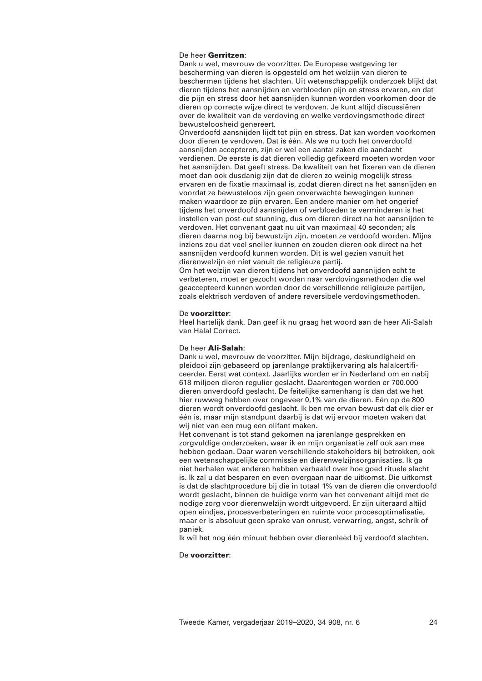# De heer **Gerritzen**:

Dank u wel, mevrouw de voorzitter. De Europese wetgeving ter bescherming van dieren is opgesteld om het welzijn van dieren te beschermen tijdens het slachten. Uit wetenschappelijk onderzoek blijkt dat dieren tijdens het aansnijden en verbloeden pijn en stress ervaren, en dat die pijn en stress door het aansnijden kunnen worden voorkomen door de dieren op correcte wijze direct te verdoven. Je kunt altijd discussiëren over de kwaliteit van de verdoving en welke verdovingsmethode direct bewusteloosheid genereert.

Onverdoofd aansnijden lijdt tot pijn en stress. Dat kan worden voorkomen door dieren te verdoven. Dat is één. Als we nu toch het onverdoofd aansnijden accepteren, zijn er wel een aantal zaken die aandacht verdienen. De eerste is dat dieren volledig gefixeerd moeten worden voor het aansnijden. Dat geeft stress. De kwaliteit van het fixeren van de dieren moet dan ook dusdanig zijn dat de dieren zo weinig mogelijk stress ervaren en de fixatie maximaal is, zodat dieren direct na het aansnijden en voordat ze bewusteloos zijn geen onverwachte bewegingen kunnen maken waardoor ze pijn ervaren. Een andere manier om het ongerief tijdens het onverdoofd aansnijden of verbloeden te verminderen is het instellen van post-cut stunning, dus om dieren direct na het aansnijden te verdoven. Het convenant gaat nu uit van maximaal 40 seconden; als dieren daarna nog bij bewustzijn zijn, moeten ze verdoofd worden. Mijns inziens zou dat veel sneller kunnen en zouden dieren ook direct na het aansnijden verdoofd kunnen worden. Dit is wel gezien vanuit het dierenwelzijn en niet vanuit de religieuze partij.

Om het welzijn van dieren tijdens het onverdoofd aansnijden echt te verbeteren, moet er gezocht worden naar verdovingsmethoden die wel geaccepteerd kunnen worden door de verschillende religieuze partijen, zoals elektrisch verdoven of andere reversibele verdovingsmethoden.

### De **voorzitter**:

Heel hartelijk dank. Dan geef ik nu graag het woord aan de heer Ali-Salah van Halal Correct.

### De heer **Ali-Salah**:

Dank u wel, mevrouw de voorzitter. Mijn bijdrage, deskundigheid en pleidooi zijn gebaseerd op jarenlange praktijkervaring als halalcertificeerder. Eerst wat context. Jaarlijks worden er in Nederland om en nabij 618 miljoen dieren regulier geslacht. Daarentegen worden er 700.000 dieren onverdoofd geslacht. De feitelijke samenhang is dan dat we het hier ruwweg hebben over ongeveer 0,1% van de dieren. Eén op de 800 dieren wordt onverdoofd geslacht. Ik ben me ervan bewust dat elk dier er één is, maar mijn standpunt daarbij is dat wij ervoor moeten waken dat wij niet van een mug een olifant maken.

Het convenant is tot stand gekomen na jarenlange gesprekken en zorgvuldige onderzoeken, waar ik en mijn organisatie zelf ook aan mee hebben gedaan. Daar waren verschillende stakeholders bij betrokken, ook een wetenschappelijke commissie en dierenwelzijnsorganisaties. Ik ga niet herhalen wat anderen hebben verhaald over hoe goed rituele slacht is. Ik zal u dat besparen en even overgaan naar de uitkomst. Die uitkomst is dat de slachtprocedure bij die in totaal 1% van de dieren die onverdoofd wordt geslacht, binnen de huidige vorm van het convenant altijd met de nodige zorg voor dierenwelzijn wordt uitgevoerd. Er zijn uiteraard altijd open eindjes, procesverbeteringen en ruimte voor procesoptimalisatie, maar er is absoluut geen sprake van onrust, verwarring, angst, schrik of paniek.

Ik wil het nog één minuut hebben over dierenleed bij verdoofd slachten.

## De **voorzitter**: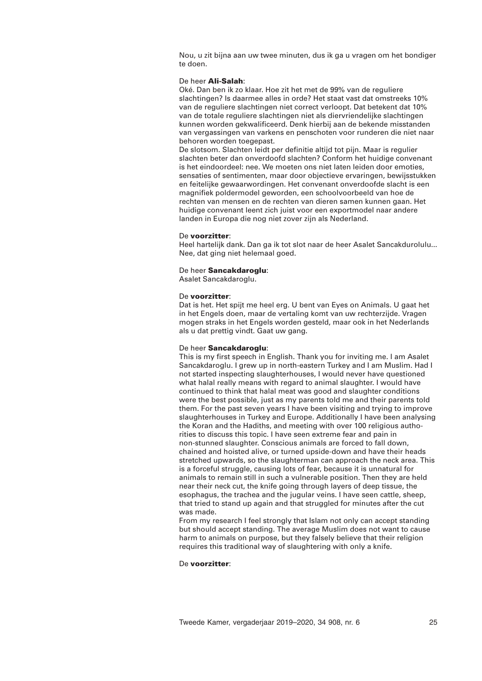Nou, u zit bijna aan uw twee minuten, dus ik ga u vragen om het bondiger te doen.

## De heer **Ali-Salah**:

Oké. Dan ben ik zo klaar. Hoe zit het met de 99% van de reguliere slachtingen? Is daarmee alles in orde? Het staat vast dat omstreeks 10% van de reguliere slachtingen niet correct verloopt. Dat betekent dat 10% van de totale reguliere slachtingen niet als diervriendelijke slachtingen kunnen worden gekwalificeerd. Denk hierbij aan de bekende misstanden van vergassingen van varkens en penschoten voor runderen die niet naar behoren worden toegepast.

De slotsom. Slachten leidt per definitie altijd tot pijn. Maar is regulier slachten beter dan onverdoofd slachten? Conform het huidige convenant is het eindoordeel: nee. We moeten ons niet laten leiden door emoties, sensaties of sentimenten, maar door objectieve ervaringen, bewijsstukken en feitelijke gewaarwordingen. Het convenant onverdoofde slacht is een magnifiek poldermodel geworden, een schoolvoorbeeld van hoe de rechten van mensen en de rechten van dieren samen kunnen gaan. Het huidige convenant leent zich juist voor een exportmodel naar andere landen in Europa die nog niet zover zijn als Nederland.

## De **voorzitter**:

Heel hartelijk dank. Dan ga ik tot slot naar de heer Asalet Sancakdurolulu... Nee, dat ging niet helemaal goed.

## De heer **Sancakdaroglu**:

Asalet Sancakdaroglu.

## De **voorzitter**:

Dat is het. Het spijt me heel erg. U bent van Eyes on Animals. U gaat het in het Engels doen, maar de vertaling komt van uw rechterzijde. Vragen mogen straks in het Engels worden gesteld, maar ook in het Nederlands als u dat prettig vindt. Gaat uw gang.

# De heer **Sancakdaroglu**:

This is my first speech in English. Thank you for inviting me. I am Asalet Sancakdaroglu. I grew up in north-eastern Turkey and I am Muslim. Had I not started inspecting slaughterhouses, I would never have questioned what halal really means with regard to animal slaughter. I would have continued to think that halal meat was good and slaughter conditions were the best possible, just as my parents told me and their parents told them. For the past seven years I have been visiting and trying to improve slaughterhouses in Turkey and Europe. Additionally I have been analysing the Koran and the Hadiths, and meeting with over 100 religious authorities to discuss this topic. I have seen extreme fear and pain in non-stunned slaughter. Conscious animals are forced to fall down, chained and hoisted alive, or turned upside-down and have their heads stretched upwards, so the slaughterman can approach the neck area. This is a forceful struggle, causing lots of fear, because it is unnatural for animals to remain still in such a vulnerable position. Then they are held near their neck cut, the knife going through layers of deep tissue, the esophagus, the trachea and the jugular veins. I have seen cattle, sheep, that tried to stand up again and that struggled for minutes after the cut was made.

From my research I feel strongly that Islam not only can accept standing but should accept standing. The average Muslim does not want to cause harm to animals on purpose, but they falsely believe that their religion requires this traditional way of slaughtering with only a knife.

# De **voorzitter**: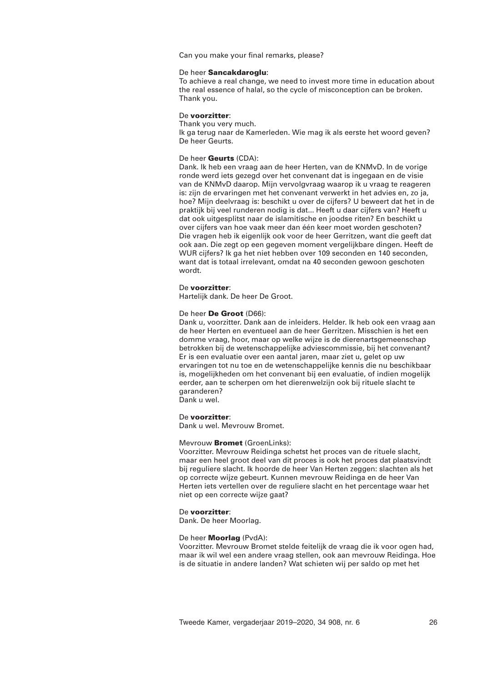Can you make your final remarks, please?

## De heer **Sancakdaroglu**:

To achieve a real change, we need to invest more time in education about the real essence of halal, so the cycle of misconception can be broken. Thank you.

## De **voorzitter**:

Thank you very much. Ik ga terug naar de Kamerleden. Wie mag ik als eerste het woord geven? De heer Geurts.

## De heer **Geurts** (CDA):

Dank. Ik heb een vraag aan de heer Herten, van de KNMvD. In de vorige ronde werd iets gezegd over het convenant dat is ingegaan en de visie van de KNMvD daarop. Mijn vervolgvraag waarop ik u vraag te reageren is: zijn de ervaringen met het convenant verwerkt in het advies en, zo ja, hoe? Mijn deelvraag is: beschikt u over de cijfers? U beweert dat het in de praktijk bij veel runderen nodig is dat... Heeft u daar cijfers van? Heeft u dat ook uitgesplitst naar de islamitische en joodse riten? En beschikt u over cijfers van hoe vaak meer dan één keer moet worden geschoten? Die vragen heb ik eigenlijk ook voor de heer Gerritzen, want die geeft dat ook aan. Die zegt op een gegeven moment vergelijkbare dingen. Heeft de WUR cijfers? Ik ga het niet hebben over 109 seconden en 140 seconden, want dat is totaal irrelevant, omdat na 40 seconden gewoon geschoten wordt.

## De **voorzitter**:

Hartelijk dank. De heer De Groot.

## De heer **De Groot** (D66):

Dank u, voorzitter. Dank aan de inleiders. Helder. Ik heb ook een vraag aan de heer Herten en eventueel aan de heer Gerritzen. Misschien is het een domme vraag, hoor, maar op welke wijze is de dierenartsgemeenschap betrokken bij de wetenschappelijke adviescommissie, bij het convenant? Er is een evaluatie over een aantal jaren, maar ziet u, gelet op uw ervaringen tot nu toe en de wetenschappelijke kennis die nu beschikbaar is, mogelijkheden om het convenant bij een evaluatie, of indien mogelijk eerder, aan te scherpen om het dierenwelzijn ook bij rituele slacht te garanderen?

Dank u wel.

### De **voorzitter**:

Dank u wel. Mevrouw Bromet.

## Mevrouw **Bromet** (GroenLinks):

Voorzitter. Mevrouw Reidinga schetst het proces van de rituele slacht, maar een heel groot deel van dit proces is ook het proces dat plaatsvindt bij reguliere slacht. Ik hoorde de heer Van Herten zeggen: slachten als het op correcte wijze gebeurt. Kunnen mevrouw Reidinga en de heer Van Herten iets vertellen over de reguliere slacht en het percentage waar het niet op een correcte wijze gaat?

### De **voorzitter**:

Dank. De heer Moorlag.

## De heer **Moorlag** (PvdA):

Voorzitter. Mevrouw Bromet stelde feitelijk de vraag die ik voor ogen had, maar ik wil wel een andere vraag stellen, ook aan mevrouw Reidinga. Hoe is de situatie in andere landen? Wat schieten wij per saldo op met het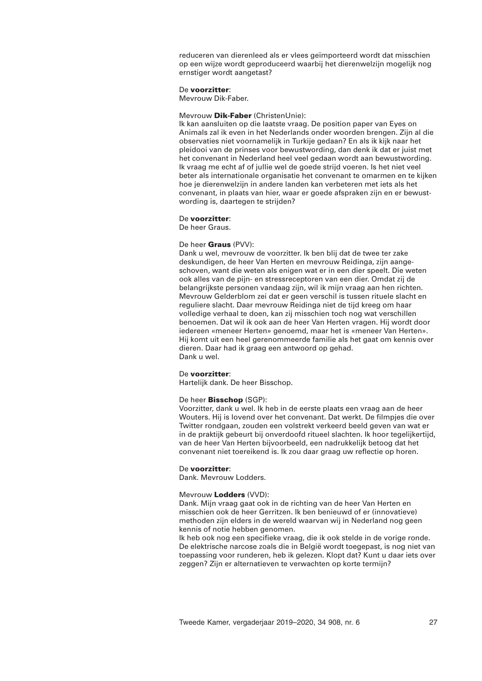reduceren van dierenleed als er vlees geïmporteerd wordt dat misschien op een wijze wordt geproduceerd waarbij het dierenwelzijn mogelijk nog ernstiger wordt aangetast?

## De **voorzitter**:

Mevrouw Dik-Faber.

### Mevrouw **Dik-Faber** (ChristenUnie):

Ik kan aansluiten op die laatste vraag. De position paper van Eyes on Animals zal ik even in het Nederlands onder woorden brengen. Zijn al die observaties niet voornamelijk in Turkije gedaan? En als ik kijk naar het pleidooi van de prinses voor bewustwording, dan denk ik dat er juist met het convenant in Nederland heel veel gedaan wordt aan bewustwording. Ik vraag me echt af of jullie wel de goede strijd voeren. Is het niet veel beter als internationale organisatie het convenant te omarmen en te kijken hoe je dierenwelzijn in andere landen kan verbeteren met iets als het convenant, in plaats van hier, waar er goede afspraken zijn en er bewustwording is, daartegen te strijden?

### De **voorzitter**:

De heer Graus.

## De heer **Graus** (PVV):

Dank u wel, mevrouw de voorzitter. Ik ben blij dat de twee ter zake deskundigen, de heer Van Herten en mevrouw Reidinga, zijn aangeschoven, want die weten als enigen wat er in een dier speelt. Die weten ook alles van de pijn- en stressreceptoren van een dier. Omdat zij de belangrijkste personen vandaag zijn, wil ik mijn vraag aan hen richten. Mevrouw Gelderblom zei dat er geen verschil is tussen rituele slacht en reguliere slacht. Daar mevrouw Reidinga niet de tijd kreeg om haar volledige verhaal te doen, kan zij misschien toch nog wat verschillen benoemen. Dat wil ik ook aan de heer Van Herten vragen. Hij wordt door iedereen «meneer Herten» genoemd, maar het is «meneer Van Herten». Hij komt uit een heel gerenommeerde familie als het gaat om kennis over dieren. Daar had ik graag een antwoord op gehad. Dank u wel.

### De **voorzitter**:

Hartelijk dank. De heer Bisschop.

### De heer **Bisschop** (SGP):

Voorzitter, dank u wel. Ik heb in de eerste plaats een vraag aan de heer Wouters. Hij is lovend over het convenant. Dat werkt. De filmpjes die over Twitter rondgaan, zouden een volstrekt verkeerd beeld geven van wat er in de praktijk gebeurt bij onverdoofd ritueel slachten. Ik hoor tegelijkertijd, van de heer Van Herten bijvoorbeeld, een nadrukkelijk betoog dat het convenant niet toereikend is. Ik zou daar graag uw reflectie op horen.

### De **voorzitter**:

Dank. Mevrouw Lodders.

### Mevrouw **Lodders** (VVD):

Dank. Mijn vraag gaat ook in de richting van de heer Van Herten en misschien ook de heer Gerritzen. Ik ben benieuwd of er (innovatieve) methoden zijn elders in de wereld waarvan wij in Nederland nog geen kennis of notie hebben genomen.

Ik heb ook nog een specifieke vraag, die ik ook stelde in de vorige ronde. De elektrische narcose zoals die in België wordt toegepast, is nog niet van toepassing voor runderen, heb ik gelezen. Klopt dat? Kunt u daar iets over zeggen? Zijn er alternatieven te verwachten op korte termijn?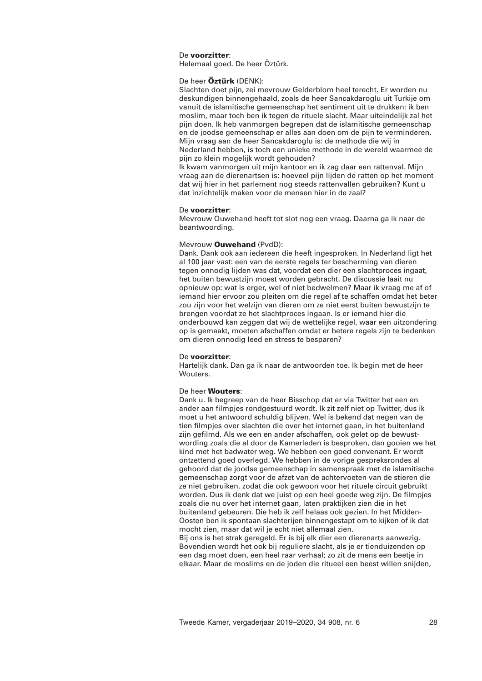## De **voorzitter**:

Helemaal goed. De heer Öztürk.

## De heer **Öztürk** (DENK):

Slachten doet pijn, zei mevrouw Gelderblom heel terecht. Er worden nu deskundigen binnengehaald, zoals de heer Sancakdaroglu uit Turkije om vanuit de islamitische gemeenschap het sentiment uit te drukken: ik ben moslim, maar toch ben ik tegen de rituele slacht. Maar uiteindelijk zal het pijn doen. Ik heb vanmorgen begrepen dat de islamitische gemeenschap en de joodse gemeenschap er alles aan doen om de pijn te verminderen. Mijn vraag aan de heer Sancakdaroglu is: de methode die wij in Nederland hebben, is toch een unieke methode in de wereld waarmee de pijn zo klein mogelijk wordt gehouden?

Ik kwam vanmorgen uit mijn kantoor en ik zag daar een rattenval. Mijn vraag aan de dierenartsen is: hoeveel pijn lijden de ratten op het moment dat wij hier in het parlement nog steeds rattenvallen gebruiken? Kunt u dat inzichtelijk maken voor de mensen hier in de zaal?

## De **voorzitter**:

Mevrouw Ouwehand heeft tot slot nog een vraag. Daarna ga ik naar de beantwoording.

## Mevrouw **Ouwehand** (PvdD):

Dank. Dank ook aan iedereen die heeft ingesproken. In Nederland ligt het al 100 jaar vast: een van de eerste regels ter bescherming van dieren tegen onnodig lijden was dat, voordat een dier een slachtproces ingaat, het buiten bewustzijn moest worden gebracht. De discussie laait nu opnieuw op: wat is erger, wel of niet bedwelmen? Maar ik vraag me af of iemand hier ervoor zou pleiten om die regel af te schaffen omdat het beter zou zijn voor het welzijn van dieren om ze niet eerst buiten bewustzijn te brengen voordat ze het slachtproces ingaan. Is er iemand hier die onderbouwd kan zeggen dat wij de wettelijke regel, waar een uitzondering op is gemaakt, moeten afschaffen omdat er betere regels zijn te bedenken om dieren onnodig leed en stress te besparen?

## De **voorzitter**:

Hartelijk dank. Dan ga ik naar de antwoorden toe. Ik begin met de heer Wouters

## De heer **Wouters**:

Dank u. Ik begreep van de heer Bisschop dat er via Twitter het een en ander aan filmpjes rondgestuurd wordt. Ik zit zelf niet op Twitter, dus ik moet u het antwoord schuldig blijven. Wel is bekend dat negen van de tien filmpjes over slachten die over het internet gaan, in het buitenland zijn gefilmd. Als we een en ander afschaffen, ook gelet op de bewustwording zoals die al door de Kamerleden is besproken, dan gooien we het kind met het badwater weg. We hebben een goed convenant. Er wordt ontzettend goed overlegd. We hebben in de vorige gespreksrondes al gehoord dat de joodse gemeenschap in samenspraak met de islamitische gemeenschap zorgt voor de afzet van de achtervoeten van de stieren die ze niet gebruiken, zodat die ook gewoon voor het rituele circuit gebruikt worden. Dus ik denk dat we juist op een heel goede weg zijn. De filmpjes zoals die nu over het internet gaan, laten praktijken zien die in het buitenland gebeuren. Die heb ik zelf helaas ook gezien. In het Midden-Oosten ben ik spontaan slachterijen binnengestapt om te kijken of ik dat mocht zien, maar dat wil je echt niet allemaal zien.

Bij ons is het strak geregeld. Er is bij elk dier een dierenarts aanwezig. Bovendien wordt het ook bij reguliere slacht, als je er tienduizenden op een dag moet doen, een heel raar verhaal; zo zit de mens een beetje in elkaar. Maar de moslims en de joden die ritueel een beest willen snijden,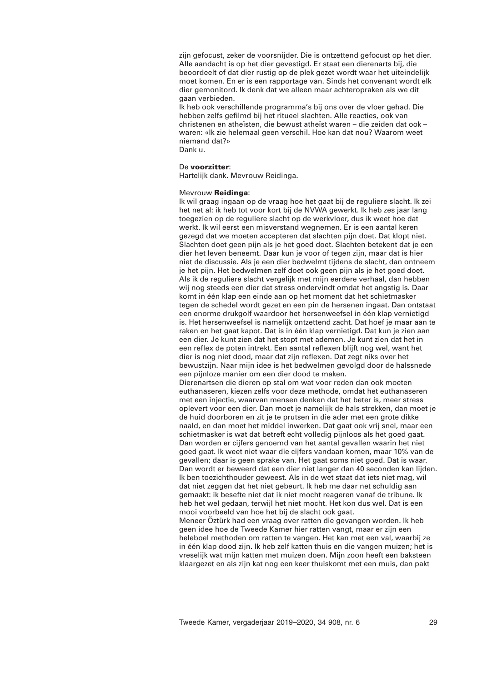zijn gefocust, zeker de voorsnijder. Die is ontzettend gefocust op het dier. Alle aandacht is op het dier gevestigd. Er staat een dierenarts bij, die beoordeelt of dat dier rustig op de plek gezet wordt waar het uiteindelijk moet komen. En er is een rapportage van. Sinds het convenant wordt elk dier gemonitord. Ik denk dat we alleen maar achteropraken als we dit gaan verbieden.

Ik heb ook verschillende programma's bij ons over de vloer gehad. Die hebben zelfs gefilmd bij het ritueel slachten. Alle reacties, ook van christenen en atheïsten, die bewust atheïst waren – die zeiden dat ook – waren: «Ik zie helemaal geen verschil. Hoe kan dat nou? Waarom weet niemand dat?» Dank u.

## De **voorzitter**:

Hartelijk dank. Mevrouw Reidinga.

## Mevrouw **Reidinga**:

Ik wil graag ingaan op de vraag hoe het gaat bij de reguliere slacht. Ik zei het net al: ik heb tot voor kort bij de NVWA gewerkt. Ik heb zes jaar lang toegezien op de reguliere slacht op de werkvloer, dus ik weet hoe dat werkt. Ik wil eerst een misverstand wegnemen. Er is een aantal keren gezegd dat we moeten accepteren dat slachten pijn doet. Dat klopt niet. Slachten doet geen pijn als je het goed doet. Slachten betekent dat je een dier het leven beneemt. Daar kun je voor of tegen zijn, maar dat is hier niet de discussie. Als je een dier bedwelmt tijdens de slacht, dan ontneem je het pijn. Het bedwelmen zelf doet ook geen pijn als je het goed doet. Als ik de reguliere slacht vergelijk met mijn eerdere verhaal, dan hebben wij nog steeds een dier dat stress ondervindt omdat het angstig is. Daar komt in één klap een einde aan op het moment dat het schietmasker tegen de schedel wordt gezet en een pin de hersenen ingaat. Dan ontstaat een enorme drukgolf waardoor het hersenweefsel in één klap vernietigd is. Het hersenweefsel is namelijk ontzettend zacht. Dat hoef je maar aan te raken en het gaat kapot. Dat is in één klap vernietigd. Dat kun je zien aan een dier. Je kunt zien dat het stopt met ademen. Je kunt zien dat het in een reflex de poten intrekt. Een aantal reflexen blijft nog wel, want het dier is nog niet dood, maar dat zijn reflexen. Dat zegt niks over het bewustzijn. Naar mijn idee is het bedwelmen gevolgd door de halssnede een pijnloze manier om een dier dood te maken.

Dierenartsen die dieren op stal om wat voor reden dan ook moeten euthanaseren, kiezen zelfs voor deze methode, omdat het euthanaseren met een injectie, waarvan mensen denken dat het beter is, meer stress oplevert voor een dier. Dan moet je namelijk de hals strekken, dan moet je de huid doorboren en zit je te prutsen in die ader met een grote dikke naald, en dan moet het middel inwerken. Dat gaat ook vrij snel, maar een schietmasker is wat dat betreft echt volledig pijnloos als het goed gaat. Dan worden er cijfers genoemd van het aantal gevallen waarin het niet goed gaat. Ik weet niet waar die cijfers vandaan komen, maar 10% van de gevallen; daar is geen sprake van. Het gaat soms niet goed. Dat is waar. Dan wordt er beweerd dat een dier niet langer dan 40 seconden kan lijden. Ik ben toezichthouder geweest. Als in de wet staat dat iets niet mag, wil dat niet zeggen dat het niet gebeurt. Ik heb me daar net schuldig aan gemaakt: ik besefte niet dat ik niet mocht reageren vanaf de tribune. Ik heb het wel gedaan, terwijl het niet mocht. Het kon dus wel. Dat is een mooi voorbeeld van hoe het bij de slacht ook gaat.

Meneer Öztürk had een vraag over ratten die gevangen worden. Ik heb geen idee hoe de Tweede Kamer hier ratten vangt, maar er zijn een heleboel methoden om ratten te vangen. Het kan met een val, waarbij ze in één klap dood zijn. Ik heb zelf katten thuis en die vangen muizen; het is vreselijk wat mijn katten met muizen doen. Mijn zoon heeft een baksteen klaargezet en als zijn kat nog een keer thuiskomt met een muis, dan pakt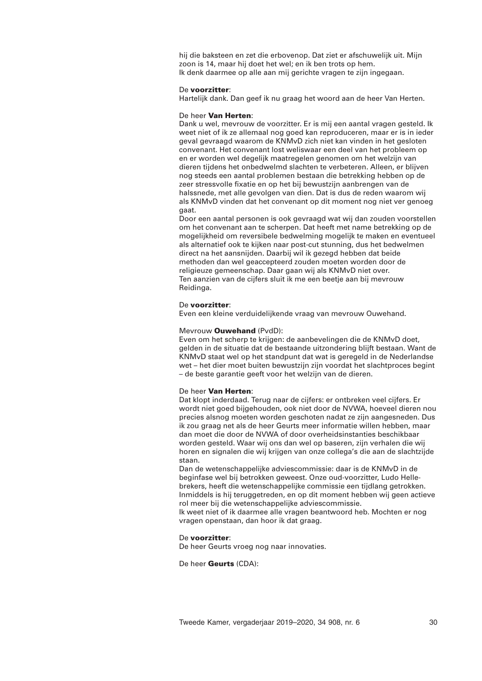hij die baksteen en zet die erbovenop. Dat ziet er afschuwelijk uit. Mijn zoon is 14, maar hij doet het wel; en ik ben trots op hem. Ik denk daarmee op alle aan mij gerichte vragen te zijn ingegaan.

### De **voorzitter**:

Hartelijk dank. Dan geef ik nu graag het woord aan de heer Van Herten.

### De heer **Van Herten**:

Dank u wel, mevrouw de voorzitter. Er is mij een aantal vragen gesteld. Ik weet niet of ik ze allemaal nog goed kan reproduceren, maar er is in ieder geval gevraagd waarom de KNMvD zich niet kan vinden in het gesloten convenant. Het convenant lost weliswaar een deel van het probleem op en er worden wel degelijk maatregelen genomen om het welzijn van dieren tijdens het onbedwelmd slachten te verbeteren. Alleen, er blijven nog steeds een aantal problemen bestaan die betrekking hebben op de zeer stressvolle fixatie en op het bij bewustzijn aanbrengen van de halssnede, met alle gevolgen van dien. Dat is dus de reden waarom wij als KNMvD vinden dat het convenant op dit moment nog niet ver genoeg gaat.

Door een aantal personen is ook gevraagd wat wij dan zouden voorstellen om het convenant aan te scherpen. Dat heeft met name betrekking op de mogelijkheid om reversibele bedwelming mogelijk te maken en eventueel als alternatief ook te kijken naar post-cut stunning, dus het bedwelmen direct na het aansnijden. Daarbij wil ik gezegd hebben dat beide methoden dan wel geaccepteerd zouden moeten worden door de religieuze gemeenschap. Daar gaan wij als KNMvD niet over. Ten aanzien van de cijfers sluit ik me een beetje aan bij mevrouw Reidinga.

### De **voorzitter**:

Even een kleine verduidelijkende vraag van mevrouw Ouwehand.

## Mevrouw **Ouwehand** (PvdD):

Even om het scherp te krijgen: de aanbevelingen die de KNMvD doet, gelden in de situatie dat de bestaande uitzondering blijft bestaan. Want de KNMvD staat wel op het standpunt dat wat is geregeld in de Nederlandse wet – het dier moet buiten bewustzijn zijn voordat het slachtproces begint – de beste garantie geeft voor het welzijn van de dieren.

#### De heer **Van Herten**:

Dat klopt inderdaad. Terug naar de cijfers: er ontbreken veel cijfers. Er wordt niet goed bijgehouden, ook niet door de NVWA, hoeveel dieren nou precies alsnog moeten worden geschoten nadat ze zijn aangesneden. Dus ik zou graag net als de heer Geurts meer informatie willen hebben, maar dan moet die door de NVWA of door overheidsinstanties beschikbaar worden gesteld. Waar wij ons dan wel op baseren, zijn verhalen die wij horen en signalen die wij krijgen van onze collega's die aan de slachtzijde staan.

Dan de wetenschappelijke adviescommissie: daar is de KNMvD in de beginfase wel bij betrokken geweest. Onze oud-voorzitter, Ludo Hellebrekers, heeft die wetenschappelijke commissie een tijdlang getrokken. Inmiddels is hij teruggetreden, en op dit moment hebben wij geen actieve rol meer bij die wetenschappelijke adviescommissie.

Ik weet niet of ik daarmee alle vragen beantwoord heb. Mochten er nog vragen openstaan, dan hoor ik dat graag.

## De **voorzitter**:

De heer Geurts vroeg nog naar innovaties.

De heer **Geurts** (CDA):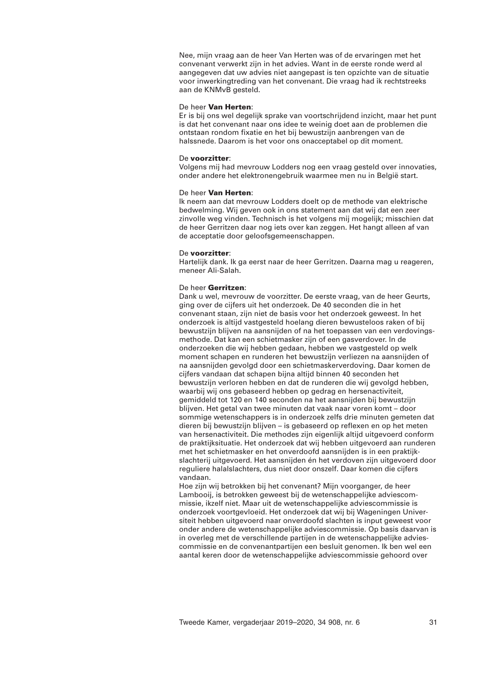Nee, mijn vraag aan de heer Van Herten was of de ervaringen met het convenant verwerkt zijn in het advies. Want in de eerste ronde werd al aangegeven dat uw advies niet aangepast is ten opzichte van de situatie voor inwerkingtreding van het convenant. Die vraag had ik rechtstreeks aan de KNMvB gesteld.

## De heer **Van Herten**:

Er is bij ons wel degelijk sprake van voortschrijdend inzicht, maar het punt is dat het convenant naar ons idee te weinig doet aan de problemen die ontstaan rondom fixatie en het bij bewustzijn aanbrengen van de halssnede. Daarom is het voor ons onacceptabel op dit moment.

### De **voorzitter**:

Volgens mij had mevrouw Lodders nog een vraag gesteld over innovaties, onder andere het elektronengebruik waarmee men nu in België start.

## De heer **Van Herten**:

Ik neem aan dat mevrouw Lodders doelt op de methode van elektrische bedwelming. Wij geven ook in ons statement aan dat wij dat een zeer zinvolle weg vinden. Technisch is het volgens mij mogelijk; misschien dat de heer Gerritzen daar nog iets over kan zeggen. Het hangt alleen af van de acceptatie door geloofsgemeenschappen.

## De **voorzitter**:

Hartelijk dank. Ik ga eerst naar de heer Gerritzen. Daarna mag u reageren, meneer Ali-Salah.

## De heer **Gerritzen**:

Dank u wel, mevrouw de voorzitter. De eerste vraag, van de heer Geurts, ging over de cijfers uit het onderzoek. De 40 seconden die in het convenant staan, zijn niet de basis voor het onderzoek geweest. In het onderzoek is altijd vastgesteld hoelang dieren bewusteloos raken of bij bewustzijn blijven na aansnijden of na het toepassen van een verdovingsmethode. Dat kan een schietmasker zijn of een gasverdover. In de onderzoeken die wij hebben gedaan, hebben we vastgesteld op welk moment schapen en runderen het bewustzijn verliezen na aansnijden of na aansnijden gevolgd door een schietmaskerverdoving. Daar komen de cijfers vandaan dat schapen bijna altijd binnen 40 seconden het bewustzijn verloren hebben en dat de runderen die wij gevolgd hebben, waarbij wij ons gebaseerd hebben op gedrag en hersenactiviteit, gemiddeld tot 120 en 140 seconden na het aansnijden bij bewustzijn blijven. Het getal van twee minuten dat vaak naar voren komt – door sommige wetenschappers is in onderzoek zelfs drie minuten gemeten dat dieren bij bewustzijn blijven – is gebaseerd op reflexen en op het meten van hersenactiviteit. Die methodes zijn eigenlijk altijd uitgevoerd conform de praktijksituatie. Het onderzoek dat wij hebben uitgevoerd aan runderen met het schietmasker en het onverdoofd aansnijden is in een praktijkslachterij uitgevoerd. Het aansnijden én het verdoven zijn uitgevoerd door reguliere halalslachters, dus niet door onszelf. Daar komen die cijfers vandaan.

Hoe zijn wij betrokken bij het convenant? Mijn voorganger, de heer Lambooij, is betrokken geweest bij de wetenschappelijke adviescommissie, ikzelf niet. Maar uit de wetenschappelijke adviescommissie is onderzoek voortgevloeid. Het onderzoek dat wij bij Wageningen Universiteit hebben uitgevoerd naar onverdoofd slachten is input geweest voor onder andere de wetenschappelijke adviescommissie. Op basis daarvan is in overleg met de verschillende partijen in de wetenschappelijke adviescommissie en de convenantpartijen een besluit genomen. Ik ben wel een aantal keren door de wetenschappelijke adviescommissie gehoord over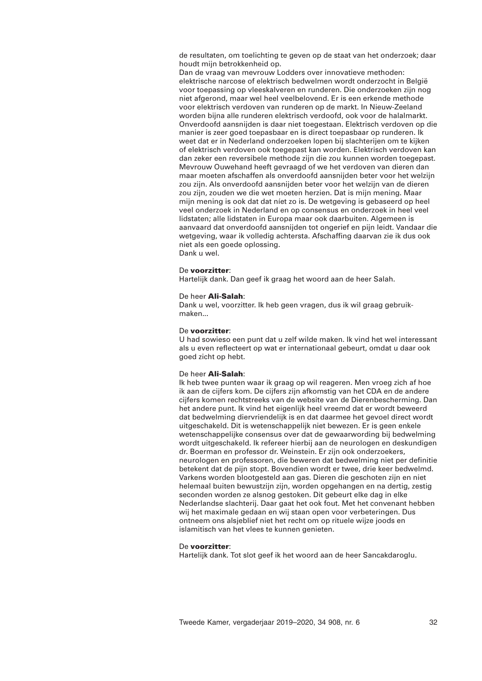de resultaten, om toelichting te geven op de staat van het onderzoek; daar houdt mijn betrokkenheid op.

Dan de vraag van mevrouw Lodders over innovatieve methoden: elektrische narcose of elektrisch bedwelmen wordt onderzocht in België voor toepassing op vleeskalveren en runderen. Die onderzoeken zijn nog niet afgerond, maar wel heel veelbelovend. Er is een erkende methode voor elektrisch verdoven van runderen op de markt. In Nieuw-Zeeland worden bijna alle runderen elektrisch verdoofd, ook voor de halalmarkt. Onverdoofd aansnijden is daar niet toegestaan. Elektrisch verdoven op die manier is zeer goed toepasbaar en is direct toepasbaar op runderen. Ik weet dat er in Nederland onderzoeken lopen bij slachterijen om te kijken of elektrisch verdoven ook toegepast kan worden. Elektrisch verdoven kan dan zeker een reversibele methode zijn die zou kunnen worden toegepast. Mevrouw Ouwehand heeft gevraagd of we het verdoven van dieren dan maar moeten afschaffen als onverdoofd aansnijden beter voor het welzijn zou zijn. Als onverdoofd aansnijden beter voor het welzijn van de dieren zou zijn, zouden we die wet moeten herzien. Dat is mijn mening. Maar mijn mening is ook dat dat níet zo is. De wetgeving is gebaseerd op heel veel onderzoek in Nederland en op consensus en onderzoek in heel veel lidstaten; alle lidstaten in Europa maar ook daarbuiten. Algemeen is aanvaard dat onverdoofd aansnijden tot ongerief en pijn leidt. Vandaar die wetgeving, waar ik volledig achtersta. Afschaffing daarvan zie ik dus ook niet als een goede oplossing. Dank u wel.

### De **voorzitter**:

Hartelijk dank. Dan geef ik graag het woord aan de heer Salah.

#### De heer **Ali-Salah**:

Dank u wel, voorzitter. Ik heb geen vragen, dus ik wil graag gebruikmaken...

## De **voorzitter**:

U had sowieso een punt dat u zelf wilde maken. Ik vind het wel interessant als u even reflecteert op wat er internationaal gebeurt, omdat u daar ook goed zicht op hebt.

#### De heer **Ali-Salah**:

Ik heb twee punten waar ik graag op wil reageren. Men vroeg zich af hoe ik aan de cijfers kom. De cijfers zijn afkomstig van het CDA en de andere cijfers komen rechtstreeks van de website van de Dierenbescherming. Dan het andere punt. Ik vind het eigenlijk heel vreemd dat er wordt beweerd dat bedwelming diervriendelijk is en dat daarmee het gevoel direct wordt uitgeschakeld. Dit is wetenschappelijk niet bewezen. Er is geen enkele wetenschappelijke consensus over dat de gewaarwording bij bedwelming wordt uitgeschakeld. Ik refereer hierbij aan de neurologen en deskundigen dr. Boerman en professor dr. Weinstein. Er zijn ook onderzoekers, neurologen en professoren, die beweren dat bedwelming niet per definitie betekent dat de pijn stopt. Bovendien wordt er twee, drie keer bedwelmd. Varkens worden blootgesteld aan gas. Dieren die geschoten zijn en niet helemaal buiten bewustzijn zijn, worden opgehangen en na dertig, zestig seconden worden ze alsnog gestoken. Dit gebeurt elke dag in elke Nederlandse slachterij. Daar gaat het ook fout. Met het convenant hebben wij het maximale gedaan en wij staan open voor verbeteringen. Dus ontneem ons alsjeblief niet het recht om op rituele wijze joods en islamitisch van het vlees te kunnen genieten.

# De **voorzitter**:

Hartelijk dank. Tot slot geef ik het woord aan de heer Sancakdaroglu.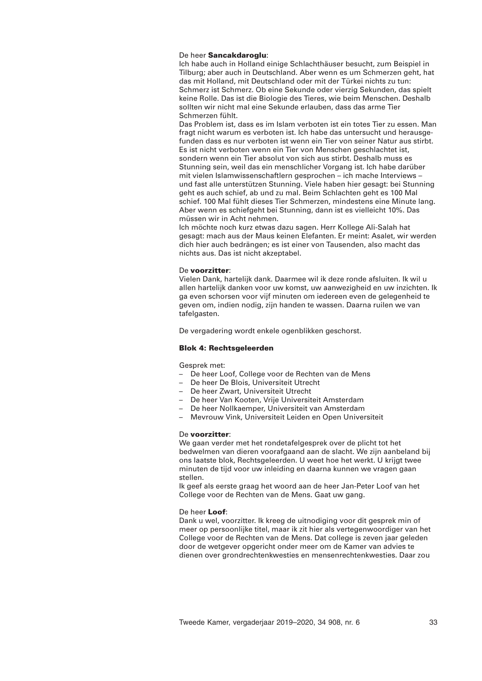# De heer **Sancakdaroglu**:

Ich habe auch in Holland einige Schlachthäuser besucht, zum Beispiel in Tilburg; aber auch in Deutschland. Aber wenn es um Schmerzen geht, hat das mit Holland, mit Deutschland oder mit der Türkei nichts zu tun: Schmerz ist Schmerz. Ob eine Sekunde oder vierzig Sekunden, das spielt keine Rolle. Das ist die Biologie des Tieres, wie beim Menschen. Deshalb sollten wir nicht mal eine Sekunde erlauben, dass das arme Tier Schmerzen fühlt.

Das Problem ist, dass es im Islam verboten ist ein totes Tier zu essen. Man fragt nicht warum es verboten ist. Ich habe das untersucht und herausgefunden dass es nur verboten ist wenn ein Tier von seiner Natur aus stirbt. Es ist nicht verboten wenn ein Tier von Menschen geschlachtet ist, sondern wenn ein Tier absolut von sich aus stirbt. Deshalb muss es Stunning sein, weil das ein menschlicher Vorgang ist. Ich habe darüber mit vielen Islamwissenschaftlern gesprochen – ich mache Interviews – und fast alle unterstützen Stunning. Viele haben hier gesagt: bei Stunning geht es auch schief, ab und zu mal. Beim Schlachten geht es 100 Mal schief. 100 Mal fühlt dieses Tier Schmerzen, mindestens eine Minute lang. Aber wenn es schiefgeht bei Stunning, dann ist es vielleicht 10%. Das müssen wir in Acht nehmen.

Ich möchte noch kurz etwas dazu sagen. Herr Kollege Ali-Salah hat gesagt: mach aus der Maus keinen Elefanten. Er meint: Asalet, wir werden dich hier auch bedrängen; es ist einer von Tausenden, also macht das nichts aus. Das ist nicht akzeptabel.

## De **voorzitter**:

Vielen Dank, hartelijk dank. Daarmee wil ik deze ronde afsluiten. Ik wil u allen hartelijk danken voor uw komst, uw aanwezigheid en uw inzichten. Ik ga even schorsen voor vijf minuten om iedereen even de gelegenheid te geven om, indien nodig, zijn handen te wassen. Daarna ruilen we van tafelgasten.

De vergadering wordt enkele ogenblikken geschorst.

## **Blok 4: Rechtsgeleerden**

Gesprek met:

- De heer Loof, College voor de Rechten van de Mens
- De heer De Blois, Universiteit Utrecht
- De heer Zwart, Universiteit Utrecht
- De heer Van Kooten, Vrije Universiteit Amsterdam
- De heer Nollkaemper, Universiteit van Amsterdam
- Mevrouw Vink, Universiteit Leiden en Open Universiteit

## De **voorzitter**:

We gaan verder met het rondetafelgesprek over de plicht tot het bedwelmen van dieren voorafgaand aan de slacht. We zijn aanbeland bij ons laatste blok, Rechtsgeleerden. U weet hoe het werkt. U krijgt twee minuten de tijd voor uw inleiding en daarna kunnen we vragen gaan stellen.

Ik geef als eerste graag het woord aan de heer Jan-Peter Loof van het College voor de Rechten van de Mens. Gaat uw gang.

### De heer **Loof**:

Dank u wel, voorzitter. Ik kreeg de uitnodiging voor dit gesprek min of meer op persoonlijke titel, maar ik zit hier als vertegenwoordiger van het College voor de Rechten van de Mens. Dat college is zeven jaar geleden door de wetgever opgericht onder meer om de Kamer van advies te dienen over grondrechtenkwesties en mensenrechtenkwesties. Daar zou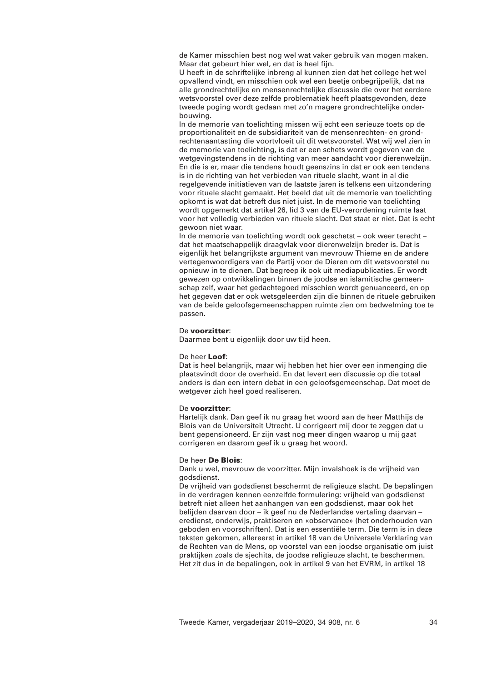de Kamer misschien best nog wel wat vaker gebruik van mogen maken. Maar dat gebeurt hier wel, en dat is heel fijn.

U heeft in de schriftelijke inbreng al kunnen zien dat het college het wel opvallend vindt, en misschien ook wel een beetje onbegrijpelijk, dat na alle grondrechtelijke en mensenrechtelijke discussie die over het eerdere wetsvoorstel over deze zelfde problematiek heeft plaatsgevonden, deze tweede poging wordt gedaan met zo'n magere grondrechtelijke onderbouwing.

In de memorie van toelichting missen wij echt een serieuze toets op de proportionaliteit en de subsidiariteit van de mensenrechten- en grondrechtenaantasting die voortvloeit uit dit wetsvoorstel. Wat wij wel zien in de memorie van toelichting, is dat er een schets wordt gegeven van de wetgevingstendens in de richting van meer aandacht voor dierenwelzijn. En die is er, maar die tendens houdt geenszins in dat er ook een tendens is in de richting van het verbieden van rituele slacht, want in al die regelgevende initiatieven van de laatste jaren is telkens een uitzondering voor rituele slacht gemaakt. Het beeld dat uit de memorie van toelichting opkomt is wat dat betreft dus niet juist. In de memorie van toelichting wordt opgemerkt dat artikel 26, lid 3 van de EU-verordening ruimte laat voor het volledig verbieden van rituele slacht. Dat staat er niet. Dat is echt gewoon niet waar.

In de memorie van toelichting wordt ook geschetst – ook weer terecht – dat het maatschappelijk draagvlak voor dierenwelzijn breder is. Dat is eigenlijk het belangrijkste argument van mevrouw Thieme en de andere vertegenwoordigers van de Partij voor de Dieren om dit wetsvoorstel nu opnieuw in te dienen. Dat begreep ik ook uit mediapublicaties. Er wordt gewezen op ontwikkelingen binnen de joodse en islamitische gemeenschap zelf, waar het gedachtegoed misschien wordt genuanceerd, en op het gegeven dat er ook wetsgeleerden zijn die binnen de rituele gebruiken van de beide geloofsgemeenschappen ruimte zien om bedwelming toe te passen.

## De **voorzitter**:

Daarmee bent u eigenlijk door uw tijd heen.

## De heer **Loof**:

Dat is heel belangrijk, maar wij hebben het hier over een inmenging die plaatsvindt door de overheid. En dat levert een discussie op die totaal anders is dan een intern debat in een geloofsgemeenschap. Dat moet de wetgever zich heel goed realiseren.

### De **voorzitter**:

Hartelijk dank. Dan geef ik nu graag het woord aan de heer Matthijs de Blois van de Universiteit Utrecht. U corrigeert mij door te zeggen dat u bent gepensioneerd. Er zijn vast nog meer dingen waarop u mij gaat corrigeren en daarom geef ik u graag het woord.

#### De heer **De Blois**:

Dank u wel, mevrouw de voorzitter. Mijn invalshoek is de vrijheid van godsdienst.

De vrijheid van godsdienst beschermt de religieuze slacht. De bepalingen in de verdragen kennen eenzelfde formulering: vrijheid van godsdienst betreft niet alleen het aanhangen van een godsdienst, maar ook het belijden daarvan door – ik geef nu de Nederlandse vertaling daarvan – eredienst, onderwijs, praktiseren en «observance» (het onderhouden van geboden en voorschriften). Dat is een essentiële term. Die term is in deze teksten gekomen, allereerst in artikel 18 van de Universele Verklaring van de Rechten van de Mens, op voorstel van een joodse organisatie om juist praktijken zoals de sjechita, de joodse religieuze slacht, te beschermen. Het zit dus in de bepalingen, ook in artikel 9 van het EVRM, in artikel 18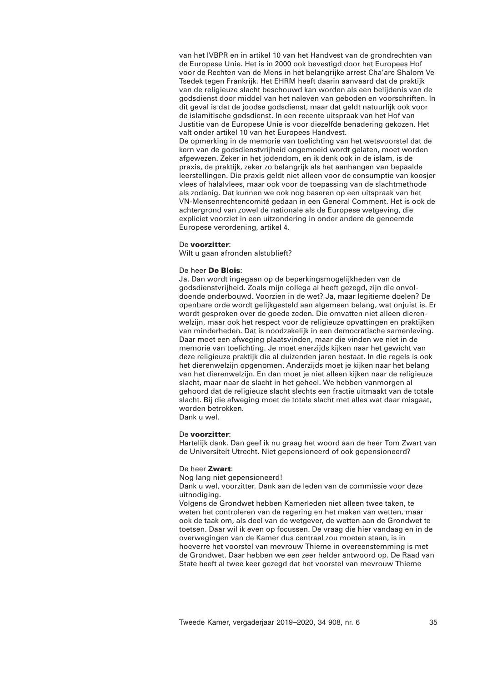van het IVBPR en in artikel 10 van het Handvest van de grondrechten van de Europese Unie. Het is in 2000 ook bevestigd door het Europees Hof voor de Rechten van de Mens in het belangrijke arrest Cha'are Shalom Ve Tsedek tegen Frankrijk. Het EHRM heeft daarin aanvaard dat de praktijk van de religieuze slacht beschouwd kan worden als een belijdenis van de godsdienst door middel van het naleven van geboden en voorschriften. In dit geval is dat de joodse godsdienst, maar dat geldt natuurlijk ook voor de islamitische godsdienst. In een recente uitspraak van het Hof van Justitie van de Europese Unie is voor diezelfde benadering gekozen. Het valt onder artikel 10 van het Europees Handvest.

De opmerking in de memorie van toelichting van het wetsvoorstel dat de kern van de godsdienstvrijheid ongemoeid wordt gelaten, moet worden afgewezen. Zeker in het jodendom, en ik denk ook in de islam, is de praxis, de praktijk, zeker zo belangrijk als het aanhangen van bepaalde leerstellingen. Die praxis geldt niet alleen voor de consumptie van koosjer vlees of halalvlees, maar ook voor de toepassing van de slachtmethode als zodanig. Dat kunnen we ook nog baseren op een uitspraak van het VN-Mensenrechtencomité gedaan in een General Comment. Het is ook de achtergrond van zowel de nationale als de Europese wetgeving, die expliciet voorziet in een uitzondering in onder andere de genoemde Europese verordening, artikel 4.

### De **voorzitter**:

Wilt u gaan afronden alstublieft?

## De heer **De Blois**:

Ja. Dan wordt ingegaan op de beperkingsmogelijkheden van de godsdienstvrijheid. Zoals mijn collega al heeft gezegd, zijn die onvoldoende onderbouwd. Voorzien in de wet? Ja, maar legitieme doelen? De openbare orde wordt gelijkgesteld aan algemeen belang, wat onjuist is. Er wordt gesproken over de goede zeden. Die omvatten niet alleen dierenwelzijn, maar ook het respect voor de religieuze opvattingen en praktijken van minderheden. Dat is noodzakelijk in een democratische samenleving. Daar moet een afweging plaatsvinden, maar die vinden we niet in de memorie van toelichting. Je moet enerzijds kijken naar het gewicht van deze religieuze praktijk die al duizenden jaren bestaat. In die regels is ook het dierenwelzijn opgenomen. Anderzijds moet je kijken naar het belang van het dierenwelzijn. En dan moet je niet alleen kijken naar de religieuze slacht, maar naar de slacht in het geheel. We hebben vanmorgen al gehoord dat de religieuze slacht slechts een fractie uitmaakt van de totale slacht. Bij die afweging moet de totale slacht met alles wat daar misgaat, worden betrokken. Dank u wel.

## De **voorzitter**:

Hartelijk dank. Dan geef ik nu graag het woord aan de heer Tom Zwart van de Universiteit Utrecht. Niet gepensioneerd of ook gepensioneerd?

### De heer **Zwart**:

Nog lang niet gepensioneerd!

Dank u wel, voorzitter. Dank aan de leden van de commissie voor deze uitnodiging.

Volgens de Grondwet hebben Kamerleden niet alleen twee taken, te weten het controleren van de regering en het maken van wetten, maar ook de taak om, als deel van de wetgever, de wetten aan de Grondwet te toetsen. Daar wil ik even op focussen. De vraag die hier vandaag en in de overwegingen van de Kamer dus centraal zou moeten staan, is in hoeverre het voorstel van mevrouw Thieme in overeenstemming is met de Grondwet. Daar hebben we een zeer helder antwoord op. De Raad van State heeft al twee keer gezegd dat het voorstel van mevrouw Thieme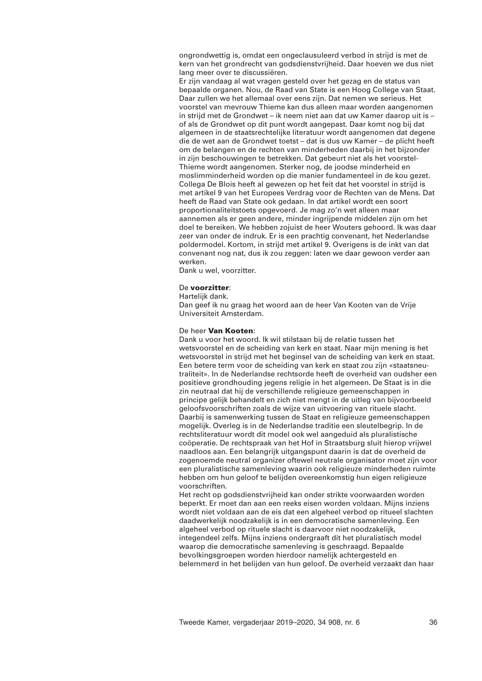ongrondwettig is, omdat een ongeclausuleerd verbod in strijd is met de kern van het grondrecht van godsdienstvrijheid. Daar hoeven we dus niet lang meer over te discussiëren.

Er zijn vandaag al wat vragen gesteld over het gezag en de status van bepaalde organen. Nou, de Raad van State is een Hoog College van Staat. Daar zullen we het allemaal over eens zijn. Dat nemen we serieus. Het voorstel van mevrouw Thieme kan dus alleen maar worden aangenomen in strijd met de Grondwet – ik neem niet aan dat uw Kamer daarop uit is – of als de Grondwet op dit punt wordt aangepast. Daar komt nog bij dat algemeen in de staatsrechtelijke literatuur wordt aangenomen dat degene die de wet aan de Grondwet toetst – dat is dus uw Kamer – de plicht heeft om de belangen en de rechten van minderheden daarbij in het bijzonder in zijn beschouwingen te betrekken. Dat gebeurt niet als het voorstel-Thieme wordt aangenomen. Sterker nog, de joodse minderheid en moslimminderheid worden op die manier fundamenteel in de kou gezet. Collega De Blois heeft al gewezen op het feit dat het voorstel in strijd is met artikel 9 van het Europees Verdrag voor de Rechten van de Mens. Dat heeft de Raad van State ook gedaan. In dat artikel wordt een soort proportionaliteitstoets opgevoerd. Je mag zo'n wet alleen maar aannemen als er geen andere, minder ingrijpende middelen zijn om het doel te bereiken. We hebben zojuist de heer Wouters gehoord. Ik was daar zeer van onder de indruk. Er is een prachtig convenant, het Nederlandse poldermodel. Kortom, in strijd met artikel 9. Overigens is de inkt van dat convenant nog nat, dus ik zou zeggen: laten we daar gewoon verder aan werken.

Dank u wel, voorzitter.

### De **voorzitter**:

#### Hartelijk dank.

Dan geef ik nu graag het woord aan de heer Van Kooten van de Vrije Universiteit Amsterdam.

## De heer **Van Kooten**:

Dank u voor het woord. Ik wil stilstaan bij de relatie tussen het wetsvoorstel en de scheiding van kerk en staat. Naar mijn mening is het wetsvoorstel in strijd met het beginsel van de scheiding van kerk en staat. Een betere term voor de scheiding van kerk en staat zou zijn «staatsneutraliteit». In de Nederlandse rechtsorde heeft de overheid van oudsher een positieve grondhouding jegens religie in het algemeen. De Staat is in die zin neutraal dat hij de verschillende religieuze gemeenschappen in principe gelijk behandelt en zich niet mengt in de uitleg van bijvoorbeeld geloofsvoorschriften zoals de wijze van uitvoering van rituele slacht. Daarbij is samenwerking tussen de Staat en religieuze gemeenschappen mogelijk. Overleg is in de Nederlandse traditie een sleutelbegrip. In de rechtsliteratuur wordt dit model ook wel aangeduid als pluralistische coöperatie. De rechtspraak van het Hof in Straatsburg sluit hierop vrijwel naadloos aan. Een belangrijk uitgangspunt daarin is dat de overheid de zogenoemde neutral organizer oftewel neutrale organisator moet zijn voor een pluralistische samenleving waarin ook religieuze minderheden ruimte hebben om hun geloof te belijden overeenkomstig hun eigen religieuze voorschriften.

Het recht op godsdienstvrijheid kan onder strikte voorwaarden worden beperkt. Er moet dan aan een reeks eisen worden voldaan. Mijns inziens wordt niet voldaan aan de eis dat een algeheel verbod op ritueel slachten daadwerkelijk noodzakelijk is in een democratische samenleving. Een algeheel verbod op rituele slacht is daarvoor niet noodzakelijk, integendeel zelfs. Mijns inziens ondergraaft dit het pluralistisch model waarop die democratische samenleving is geschraagd. Bepaalde bevolkingsgroepen worden hierdoor namelijk achtergesteld en belemmerd in het belijden van hun geloof. De overheid verzaakt dan haar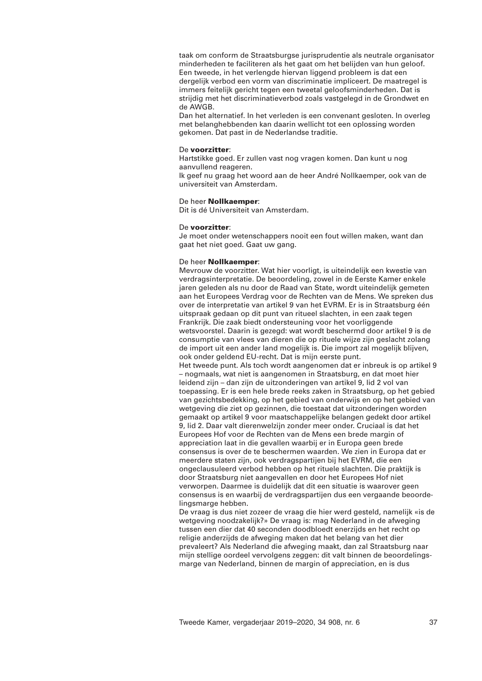taak om conform de Straatsburgse jurisprudentie als neutrale organisator minderheden te faciliteren als het gaat om het belijden van hun geloof. Een tweede, in het verlengde hiervan liggend probleem is dat een dergelijk verbod een vorm van discriminatie impliceert. De maatregel is immers feitelijk gericht tegen een tweetal geloofsminderheden. Dat is strijdig met het discriminatieverbod zoals vastgelegd in de Grondwet en de AWGB.

Dan het alternatief. In het verleden is een convenant gesloten. In overleg met belanghebbenden kan daarin wellicht tot een oplossing worden gekomen. Dat past in de Nederlandse traditie.

## De **voorzitter**:

Hartstikke goed. Er zullen vast nog vragen komen. Dan kunt u nog aanvullend reageren.

Ik geef nu graag het woord aan de heer André Nollkaemper, ook van de universiteit van Amsterdam.

## De heer **Nollkaemper**:

Dit is dé Universiteit van Amsterdam.

## De **voorzitter**:

Je moet onder wetenschappers nooit een fout willen maken, want dan gaat het niet goed. Gaat uw gang.

### De heer **Nollkaemper**:

Mevrouw de voorzitter. Wat hier voorligt, is uiteindelijk een kwestie van verdragsinterpretatie. De beoordeling, zowel in de Eerste Kamer enkele jaren geleden als nu door de Raad van State, wordt uiteindelijk gemeten aan het Europees Verdrag voor de Rechten van de Mens. We spreken dus over de interpretatie van artikel 9 van het EVRM. Er is in Straatsburg één uitspraak gedaan op dit punt van ritueel slachten, in een zaak tegen Frankrijk. Die zaak biedt ondersteuning voor het voorliggende wetsvoorstel. Daarin is gezegd: wat wordt beschermd door artikel 9 is de consumptie van vlees van dieren die op rituele wijze zijn geslacht zolang de import uit een ander land mogelijk is. Die import zal mogelijk blijven, ook onder geldend EU-recht. Dat is mijn eerste punt. Het tweede punt. Als toch wordt aangenomen dat er inbreuk is op artikel 9 – nogmaals, wat niet is aangenomen in Straatsburg, en dat moet hier leidend zijn – dan zijn de uitzonderingen van artikel 9, lid 2 vol van toepassing. Er is een hele brede reeks zaken in Straatsburg, op het gebied van gezichtsbedekking, op het gebied van onderwijs en op het gebied van wetgeving die ziet op gezinnen, die toestaat dat uitzonderingen worden gemaakt op artikel 9 voor maatschappelijke belangen gedekt door artikel 9, lid 2. Daar valt dierenwelzijn zonder meer onder. Cruciaal is dat het Europees Hof voor de Rechten van de Mens een brede margin of appreciation laat in die gevallen waarbij er in Europa geen brede consensus is over de te beschermen waarden. We zien in Europa dat er meerdere staten zijn, ook verdragspartijen bij het EVRM, die een ongeclausuleerd verbod hebben op het rituele slachten. Die praktijk is door Straatsburg niet aangevallen en door het Europees Hof niet verworpen. Daarmee is duidelijk dat dit een situatie is waarover geen consensus is en waarbij de verdragspartijen dus een vergaande beoordelingsmarge hebben.

De vraag is dus niet zozeer de vraag die hier werd gesteld, namelijk «is de wetgeving noodzakelijk?» De vraag is: mag Nederland in de afweging tussen een dier dat 40 seconden doodbloedt enerzijds en het recht op religie anderzijds de afweging maken dat het belang van het dier prevaleert? Als Nederland die afweging maakt, dan zal Straatsburg naar mijn stellige oordeel vervolgens zeggen: dit valt binnen de beoordelingsmarge van Nederland, binnen de margin of appreciation, en is dus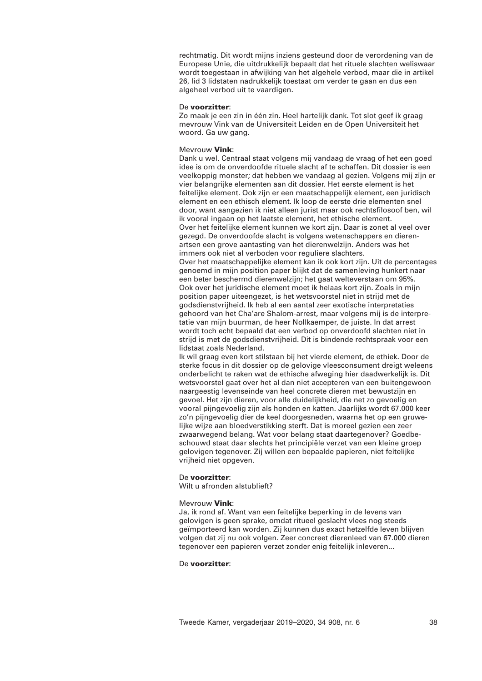rechtmatig. Dit wordt mijns inziens gesteund door de verordening van de Europese Unie, die uitdrukkelijk bepaalt dat het rituele slachten weliswaar wordt toegestaan in afwijking van het algehele verbod, maar die in artikel 26, lid 3 lidstaten nadrukkelijk toestaat om verder te gaan en dus een algeheel verbod uit te vaardigen.

### De **voorzitter**:

Zo maak je een zin in één zin. Heel hartelijk dank. Tot slot geef ik graag mevrouw Vink van de Universiteit Leiden en de Open Universiteit het woord. Ga uw gang.

## Mevrouw **Vink**:

Dank u wel. Centraal staat volgens mij vandaag de vraag of het een goed idee is om de onverdoofde rituele slacht af te schaffen. Dit dossier is een veelkoppig monster; dat hebben we vandaag al gezien. Volgens mij zijn er vier belangrijke elementen aan dit dossier. Het eerste element is het feitelijke element. Ook zijn er een maatschappelijk element, een juridisch element en een ethisch element. Ik loop de eerste drie elementen snel door, want aangezien ik niet alleen jurist maar ook rechtsfilosoof ben, wil ik vooral ingaan op het laatste element, het ethische element. Over het feitelijke element kunnen we kort zijn. Daar is zonet al veel over gezegd. De onverdoofde slacht is volgens wetenschappers en dierenartsen een grove aantasting van het dierenwelzijn. Anders was het immers ook niet al verboden voor reguliere slachters. Over het maatschappelijke element kan ik ook kort zijn. Uit de percentages genoemd in mijn position paper blijkt dat de samenleving hunkert naar een beter beschermd dierenwelzijn; het gaat welteverstaan om 95%. Ook over het juridische element moet ik helaas kort zijn. Zoals in mijn position paper uiteengezet, is het wetsvoorstel niet in strijd met de godsdienstvrijheid. Ik heb al een aantal zeer exotische interpretaties gehoord van het Cha'are Shalom-arrest, maar volgens mij is de interpretatie van mijn buurman, de heer Nollkaemper, de juiste. In dat arrest wordt toch echt bepaald dat een verbod op onverdoofd slachten niet in strijd is met de godsdienstvrijheid. Dit is bindende rechtspraak voor een lidstaat zoals Nederland.

Ik wil graag even kort stilstaan bij het vierde element, de ethiek. Door de sterke focus in dit dossier op de gelovige vleesconsument dreigt weleens onderbelicht te raken wat de ethische afweging hier daadwerkelijk is. Dit wetsvoorstel gaat over het al dan niet accepteren van een buitengewoon naargeestig levenseinde van heel concrete dieren met bewustzijn en gevoel. Het zijn dieren, voor alle duidelijkheid, die net zo gevoelig en vooral pijngevoelig zijn als honden en katten. Jaarlijks wordt 67.000 keer zo'n pijngevoelig dier de keel doorgesneden, waarna het op een gruwelijke wijze aan bloedverstikking sterft. Dat is moreel gezien een zeer zwaarwegend belang. Wat voor belang staat daartegenover? Goedbeschouwd staat daar slechts het principiële verzet van een kleine groep gelovigen tegenover. Zij willen een bepaalde papieren, niet feitelijke vrijheid niet opgeven.

## De **voorzitter**:

Wilt u afronden alstublieft?

## Mevrouw **Vink**:

Ja, ik rond af. Want van een feitelijke beperking in de levens van gelovigen is geen sprake, omdat ritueel geslacht vlees nog steeds geïmporteerd kan worden. Zij kunnen dus exact hetzelfde leven blijven volgen dat zij nu ook volgen. Zeer concreet dierenleed van 67.000 dieren tegenover een papieren verzet zonder enig feitelijk inleveren...

# De **voorzitter**: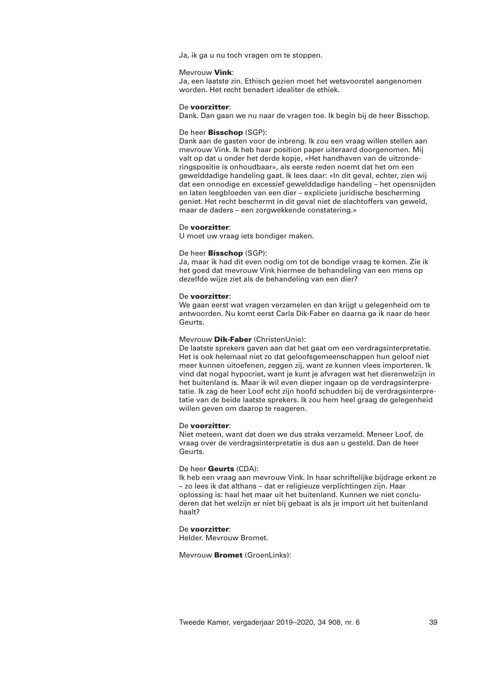Ja, ik ga u nu toch vragen om te stoppen.

### Mevrouw **Vink**:

Ja, een laatste zin. Ethisch gezien moet het wetsvoorstel aangenomen worden. Het recht benadert idealiter de ethiek.

### De **voorzitter**:

Dank. Dan gaan we nu naar de vragen toe. Ik begin bij de heer Bisschop.

## De heer **Bisschop** (SGP):

Dank aan de gasten voor de inbreng. Ik zou een vraag willen stellen aan mevrouw Vink. Ik heb haar position paper uiteraard doorgenomen. Mij valt op dat u onder het derde kopje, «Het handhaven van de uitzonderingspositie is onhoudbaar», als eerste reden noemt dat het om een gewelddadige handeling gaat. Ik lees daar: «In dit geval, echter, zien wij dat een onnodige en excessief gewelddadige handeling – het opensnijden en laten leegbloeden van een dier – expliciete juridische bescherming geniet. Het recht beschermt in dit geval niet de slachtoffers van geweld, maar de daders – een zorgwekkende constatering.»

### De **voorzitter**:

U moet uw vraag iets bondiger maken.

### De heer **Bisschop** (SGP):

Ja, maar ik had dit even nodig om tot de bondige vraag te komen. Zie ik het goed dat mevrouw Vink hiermee de behandeling van een mens op dezelfde wijze ziet als de behandeling van een dier?

#### De **voorzitter**:

We gaan eerst wat vragen verzamelen en dan krijgt u gelegenheid om te antwoorden. Nu komt eerst Carla Dik-Faber en daarna ga ik naar de heer Geurts.

# Mevrouw **Dik-Faber** (ChristenUnie):

De laatste sprekers gaven aan dat het gaat om een verdragsinterpretatie. Het is ook helemaal niet zo dat geloofsgemeenschappen hun geloof niet meer kunnen uitoefenen, zeggen zij, want ze kunnen vlees importeren. Ik vind dat nogal hypocriet, want je kunt je afvragen wat het dierenwelzijn in het buitenland is. Maar ik wil even dieper ingaan op de verdragsinterpretatie. Ik zag de heer Loof echt zijn hoofd schudden bij de verdragsinterpretatie van de beide laatste sprekers. Ik zou hem heel graag de gelegenheid willen geven om daarop te reageren.

## De **voorzitter**:

Niet meteen, want dat doen we dus straks verzameld. Meneer Loof, de vraag over de verdragsinterpretatie is dus aan u gesteld. Dan de heer Geurts.

### De heer **Geurts** (CDA):

Ik heb een vraag aan mevrouw Vink. In haar schriftelijke bijdrage erkent ze – zo lees ik dat althans – dat er religieuze verplichtingen zijn. Haar oplossing is: haal het maar uit het buitenland. Kunnen we niet concluderen dat het welzijn er niet bij gebaat is als je import uit het buitenland haalt?

### De **voorzitter**:

Helder. Mevrouw Bromet.

Mevrouw **Bromet** (GroenLinks):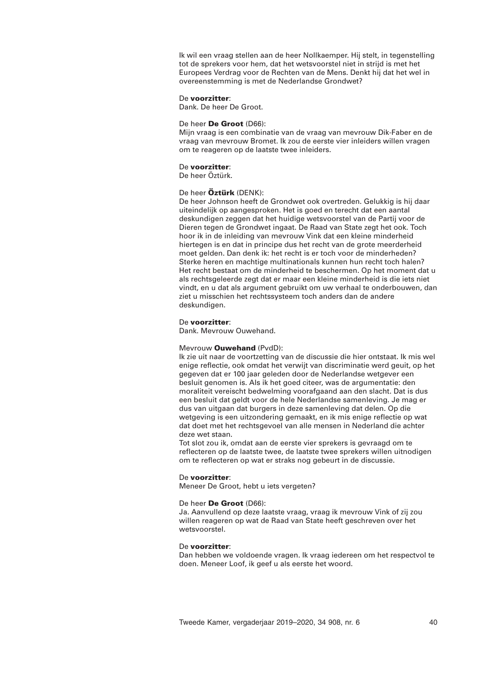Ik wil een vraag stellen aan de heer Nollkaemper. Hij stelt, in tegenstelling tot de sprekers voor hem, dat het wetsvoorstel niet in strijd is met het Europees Verdrag voor de Rechten van de Mens. Denkt hij dat het wel in overeenstemming is met de Nederlandse Grondwet?

# De **voorzitter**:

Dank. De heer De Groot.

# De heer **De Groot** (D66):

Mijn vraag is een combinatie van de vraag van mevrouw Dik-Faber en de vraag van mevrouw Bromet. Ik zou de eerste vier inleiders willen vragen om te reageren op de laatste twee inleiders.

### De **voorzitter**:

De heer Öztürk.

# De heer **Öztürk** (DENK):

De heer Johnson heeft de Grondwet ook overtreden. Gelukkig is hij daar uiteindelijk op aangesproken. Het is goed en terecht dat een aantal deskundigen zeggen dat het huidige wetsvoorstel van de Partij voor de Dieren tegen de Grondwet ingaat. De Raad van State zegt het ook. Toch hoor ik in de inleiding van mevrouw Vink dat een kleine minderheid hiertegen is en dat in principe dus het recht van de grote meerderheid moet gelden. Dan denk ik: het recht is er toch voor de minderheden? Sterke heren en machtige multinationals kunnen hun recht toch halen? Het recht bestaat om de minderheid te beschermen. Op het moment dat u als rechtsgeleerde zegt dat er maar een kleine minderheid is die iets niet vindt, en u dat als argument gebruikt om uw verhaal te onderbouwen, dan ziet u misschien het rechtssysteem toch anders dan de andere deskundigen.

## De **voorzitter**:

Dank. Mevrouw Ouwehand.

## Mevrouw **Ouwehand** (PvdD):

Ik zie uit naar de voortzetting van de discussie die hier ontstaat. Ik mis wel enige reflectie, ook omdat het verwijt van discriminatie werd geuit, op het gegeven dat er 100 jaar geleden door de Nederlandse wetgever een besluit genomen is. Als ik het goed citeer, was de argumentatie: den moraliteit vereischt bedwelming voorafgaand aan den slacht. Dat is dus een besluit dat geldt voor de hele Nederlandse samenleving. Je mag er dus van uitgaan dat burgers in deze samenleving dat delen. Op die wetgeving is een uitzondering gemaakt, en ik mis enige reflectie op wat dat doet met het rechtsgevoel van alle mensen in Nederland die achter deze wet staan.

Tot slot zou ik, omdat aan de eerste vier sprekers is gevraagd om te reflecteren op de laatste twee, de laatste twee sprekers willen uitnodigen om te reflecteren op wat er straks nog gebeurt in de discussie.

## De **voorzitter**:

Meneer De Groot, hebt u iets vergeten?

## De heer **De Groot** (D66):

Ja. Aanvullend op deze laatste vraag, vraag ik mevrouw Vink of zij zou willen reageren op wat de Raad van State heeft geschreven over het wetsvoorstel.

## De **voorzitter**:

Dan hebben we voldoende vragen. Ik vraag iedereen om het respectvol te doen. Meneer Loof, ik geef u als eerste het woord.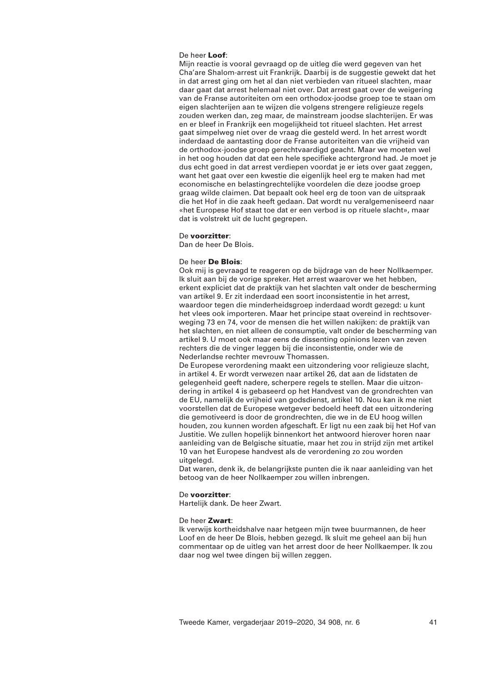## De heer **Loof**:

Mijn reactie is vooral gevraagd op de uitleg die werd gegeven van het Cha'are Shalom-arrest uit Frankrijk. Daarbij is de suggestie gewekt dat het in dat arrest ging om het al dan niet verbieden van ritueel slachten, maar daar gaat dat arrest helemaal niet over. Dat arrest gaat over de weigering van de Franse autoriteiten om een orthodox-joodse groep toe te staan om eigen slachterijen aan te wijzen die volgens strengere religieuze regels zouden werken dan, zeg maar, de mainstream joodse slachterijen. Er was en er bleef in Frankrijk een mogelijkheid tot ritueel slachten. Het arrest gaat simpelweg niet over de vraag die gesteld werd. In het arrest wordt inderdaad de aantasting door de Franse autoriteiten van die vrijheid van de orthodox-joodse groep gerechtvaardigd geacht. Maar we moeten wel in het oog houden dat dat een hele specifieke achtergrond had. Je moet je dus echt goed in dat arrest verdiepen voordat je er iets over gaat zeggen, want het gaat over een kwestie die eigenlijk heel erg te maken had met economische en belastingrechtelijke voordelen die deze joodse groep graag wilde claimen. Dat bepaalt ook heel erg de toon van de uitspraak die het Hof in die zaak heeft gedaan. Dat wordt nu veralgemeniseerd naar «het Europese Hof staat toe dat er een verbod is op rituele slacht», maar dat is volstrekt uit de lucht gegrepen.

### De **voorzitter**:

Dan de heer De Blois.

### De heer **De Blois**:

Ook mij is gevraagd te reageren op de bijdrage van de heer Nollkaemper. Ik sluit aan bij de vorige spreker. Het arrest waarover we het hebben, erkent expliciet dat de praktijk van het slachten valt onder de bescherming van artikel 9. Er zit inderdaad een soort inconsistentie in het arrest, waardoor tegen die minderheidsgroep inderdaad wordt gezegd: u kunt het vlees ook importeren. Maar het principe staat overeind in rechtsoverweging 73 en 74, voor de mensen die het willen nakijken: de praktijk van het slachten, en niet alleen de consumptie, valt onder de bescherming van artikel 9. U moet ook maar eens de dissenting opinions lezen van zeven rechters die de vinger leggen bij die inconsistentie, onder wie de Nederlandse rechter mevrouw Thomassen.

De Europese verordening maakt een uitzondering voor religieuze slacht, in artikel 4. Er wordt verwezen naar artikel 26, dat aan de lidstaten de gelegenheid geeft nadere, scherpere regels te stellen. Maar die uitzondering in artikel 4 is gebaseerd op het Handvest van de grondrechten van de EU, namelijk de vrijheid van godsdienst, artikel 10. Nou kan ik me niet voorstellen dat de Europese wetgever bedoeld heeft dat een uitzondering die gemotiveerd is door de grondrechten, die we in de EU hoog willen houden, zou kunnen worden afgeschaft. Er ligt nu een zaak bij het Hof van Justitie. We zullen hopelijk binnenkort het antwoord hierover horen naar aanleiding van de Belgische situatie, maar het zou in strijd zijn met artikel 10 van het Europese handvest als de verordening zo zou worden uitgelegd.

Dat waren, denk ik, de belangrijkste punten die ik naar aanleiding van het betoog van de heer Nollkaemper zou willen inbrengen.

#### De **voorzitter**:

Hartelijk dank. De heer Zwart.

#### De heer **Zwart**:

Ik verwijs kortheidshalve naar hetgeen mijn twee buurmannen, de heer Loof en de heer De Blois, hebben gezegd. Ik sluit me geheel aan bij hun commentaar op de uitleg van het arrest door de heer Nollkaemper. Ik zou daar nog wel twee dingen bij willen zeggen.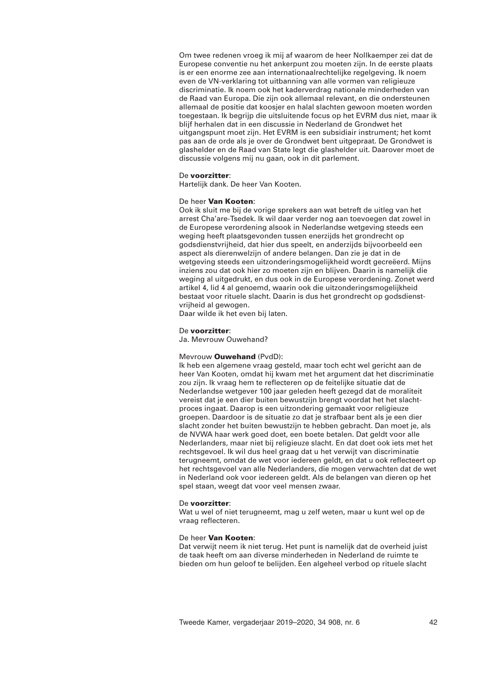Om twee redenen vroeg ik mij af waarom de heer Nollkaemper zei dat de Europese conventie nu het ankerpunt zou moeten zijn. In de eerste plaats is er een enorme zee aan internationaalrechtelijke regelgeving. Ik noem even de VN-verklaring tot uitbanning van alle vormen van religieuze discriminatie. Ik noem ook het kaderverdrag nationale minderheden van de Raad van Europa. Die zijn ook allemaal relevant, en die ondersteunen allemaal de positie dat koosjer en halal slachten gewoon moeten worden toegestaan. Ik begrijp die uitsluitende focus op het EVRM dus niet, maar ik blijf herhalen dat in een discussie in Nederland de Grondwet het uitgangspunt moet zijn. Het EVRM is een subsidiair instrument; het komt pas aan de orde als je over de Grondwet bent uitgepraat. De Grondwet is glashelder en de Raad van State legt die glashelder uit. Daarover moet de discussie volgens mij nu gaan, ook in dit parlement.

### De **voorzitter**:

Hartelijk dank. De heer Van Kooten.

## De heer **Van Kooten**:

Ook ik sluit me bij de vorige sprekers aan wat betreft de uitleg van het arrest Cha'are-Tsedek. Ik wil daar verder nog aan toevoegen dat zowel in de Europese verordening alsook in Nederlandse wetgeving steeds een weging heeft plaatsgevonden tussen enerzijds het grondrecht op godsdienstvrijheid, dat hier dus speelt, en anderzijds bijvoorbeeld een aspect als dierenwelzijn of andere belangen. Dan zie je dat in de wetgeving steeds een uitzonderingsmogelijkheid wordt gecreëerd. Mijns inziens zou dat ook hier zo moeten zijn en blijven. Daarin is namelijk die weging al uitgedrukt, en dus ook in de Europese verordening. Zonet werd artikel 4, lid 4 al genoemd, waarin ook die uitzonderingsmogelijkheid bestaat voor rituele slacht. Daarin is dus het grondrecht op godsdienstvrijheid al gewogen.

Daar wilde ik het even bij laten.

## De **voorzitter**:

Ja. Mevrouw Ouwehand?

## Mevrouw **Ouwehand** (PvdD):

Ik heb een algemene vraag gesteld, maar toch echt wel gericht aan de heer Van Kooten, omdat hij kwam met het argument dat het discriminatie zou zijn. Ik vraag hem te reflecteren op de feitelijke situatie dat de Nederlandse wetgever 100 jaar geleden heeft gezegd dat de moraliteit vereist dat je een dier buiten bewustzijn brengt voordat het het slachtproces ingaat. Daarop is een uitzondering gemaakt voor religieuze groepen. Daardoor is de situatie zo dat je strafbaar bent als je een dier slacht zonder het buiten bewustzijn te hebben gebracht. Dan moet je, als de NVWA haar werk goed doet, een boete betalen. Dat geldt voor alle Nederlanders, maar niet bij religieuze slacht. En dat doet ook iets met het rechtsgevoel. Ik wil dus heel graag dat u het verwijt van discriminatie terugneemt, omdat de wet voor iedereen geldt, en dat u ook reflecteert op het rechtsgevoel van alle Nederlanders, die mogen verwachten dat de wet in Nederland ook voor iedereen geldt. Als de belangen van dieren op het spel staan, weegt dat voor veel mensen zwaar.

## De **voorzitter**:

Wat u wel of niet terugneemt, mag u zelf weten, maar u kunt wel op de vraag reflecteren.

## De heer **Van Kooten**:

Dat verwijt neem ik niet terug. Het punt is namelijk dat de overheid juist de taak heeft om aan diverse minderheden in Nederland de ruimte te bieden om hun geloof te belijden. Een algeheel verbod op rituele slacht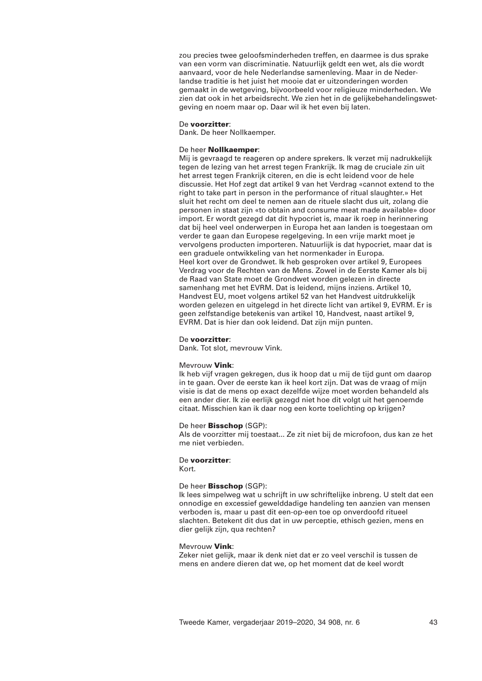zou precies twee geloofsminderheden treffen, en daarmee is dus sprake van een vorm van discriminatie. Natuurlijk geldt een wet, als die wordt aanvaard, voor de hele Nederlandse samenleving. Maar in de Nederlandse traditie is het juist het mooie dat er uitzonderingen worden gemaakt in de wetgeving, bijvoorbeeld voor religieuze minderheden. We zien dat ook in het arbeidsrecht. We zien het in de gelijkebehandelingswetgeving en noem maar op. Daar wil ik het even bij laten.

## De **voorzitter**:

Dank. De heer Nollkaemper.

## De heer **Nollkaemper**:

Mij is gevraagd te reageren op andere sprekers. Ik verzet mij nadrukkelijk tegen de lezing van het arrest tegen Frankrijk. Ik mag de cruciale zin uit het arrest tegen Frankrijk citeren, en die is echt leidend voor de hele discussie. Het Hof zegt dat artikel 9 van het Verdrag «cannot extend to the right to take part in person in the performance of ritual slaughter.» Het sluit het recht om deel te nemen aan de rituele slacht dus uit, zolang die personen in staat zijn «to obtain and consume meat made available» door import. Er wordt gezegd dat dit hypocriet is, maar ik roep in herinnering dat bij heel veel onderwerpen in Europa het aan landen is toegestaan om verder te gaan dan Europese regelgeving. In een vrije markt moet je vervolgens producten importeren. Natuurlijk is dat hypocriet, maar dat is een graduele ontwikkeling van het normenkader in Europa. Heel kort over de Grondwet. Ik heb gesproken over artikel 9, Europees Verdrag voor de Rechten van de Mens. Zowel in de Eerste Kamer als bij de Raad van State moet de Grondwet worden gelezen in directe samenhang met het EVRM. Dat is leidend, mijns inziens. Artikel 10, Handvest EU, moet volgens artikel 52 van het Handvest uitdrukkelijk worden gelezen en uitgelegd in het directe licht van artikel 9, EVRM. Er is geen zelfstandige betekenis van artikel 10, Handvest, naast artikel 9, EVRM. Dat is hier dan ook leidend. Dat zijn mijn punten.

## De **voorzitter**:

Dank. Tot slot, mevrouw Vink.

## Mevrouw **Vink**:

Ik heb vijf vragen gekregen, dus ik hoop dat u mij de tijd gunt om daarop in te gaan. Over de eerste kan ik heel kort zijn. Dat was de vraag of mijn visie is dat de mens op exact dezelfde wijze moet worden behandeld als een ander dier. Ik zie eerlijk gezegd niet hoe dit volgt uit het genoemde citaat. Misschien kan ik daar nog een korte toelichting op krijgen?

## De heer **Bisschop** (SGP):

Als de voorzitter mij toestaat... Ze zit niet bij de microfoon, dus kan ze het me niet verbieden.

## De **voorzitter**:

Kort.

## De heer **Bisschop** (SGP):

Ik lees simpelweg wat u schrijft in uw schriftelijke inbreng. U stelt dat een onnodige en excessief gewelddadige handeling ten aanzien van mensen verboden is, maar u past dit een-op-een toe op onverdoofd ritueel slachten. Betekent dit dus dat in uw perceptie, ethisch gezien, mens en dier gelijk zijn, qua rechten?

## Mevrouw **Vink**:

Zeker niet gelijk, maar ik denk niet dat er zo veel verschil is tussen de mens en andere dieren dat we, op het moment dat de keel wordt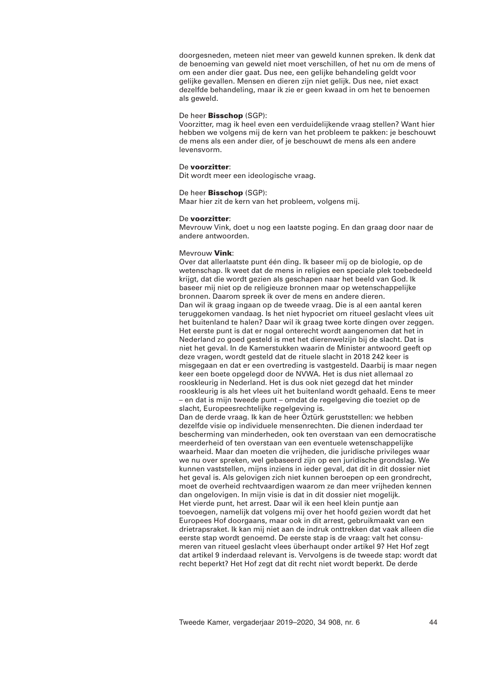doorgesneden, meteen niet meer van geweld kunnen spreken. Ik denk dat de benoeming van geweld niet moet verschillen, of het nu om de mens of om een ander dier gaat. Dus nee, een gelijke behandeling geldt voor gelijke gevallen. Mensen en dieren zijn niet gelijk. Dus nee, niet exact dezelfde behandeling, maar ik zie er geen kwaad in om het te benoemen als geweld.

## De heer **Bisschop** (SGP):

Voorzitter, mag ik heel even een verduidelijkende vraag stellen? Want hier hebben we volgens mij de kern van het probleem te pakken: je beschouwt de mens als een ander dier, of je beschouwt de mens als een andere levensvorm.

## De **voorzitter**:

Dit wordt meer een ideologische vraag.

## De heer **Bisschop** (SGP):

Maar hier zit de kern van het probleem, volgens mij.

### De **voorzitter**:

Mevrouw Vink, doet u nog een laatste poging. En dan graag door naar de andere antwoorden.

## Mevrouw **Vink**:

Over dat allerlaatste punt één ding. Ik baseer mij op de biologie, op de wetenschap. Ik weet dat de mens in religies een speciale plek toebedeeld krijgt, dat die wordt gezien als geschapen naar het beeld van God. Ik baseer mij niet op de religieuze bronnen maar op wetenschappelijke bronnen. Daarom spreek ik over de mens en andere dieren. Dan wil ik graag ingaan op de tweede vraag. Die is al een aantal keren teruggekomen vandaag. Is het niet hypocriet om ritueel geslacht vlees uit het buitenland te halen? Daar wil ik graag twee korte dingen over zeggen. Het eerste punt is dat er nogal onterecht wordt aangenomen dat het in Nederland zo goed gesteld is met het dierenwelzijn bij de slacht. Dat is niet het geval. In de Kamerstukken waarin de Minister antwoord geeft op deze vragen, wordt gesteld dat de rituele slacht in 2018 242 keer is misgegaan en dat er een overtreding is vastgesteld. Daarbij is maar negen keer een boete opgelegd door de NVWA. Het is dus niet allemaal zo rooskleurig in Nederland. Het is dus ook niet gezegd dat het minder rooskleurig is als het vlees uit het buitenland wordt gehaald. Eens te meer – en dat is mijn tweede punt – omdat de regelgeving die toeziet op de slacht, Europeesrechtelijke regelgeving is.

Dan de derde vraag. Ik kan de heer Öztürk geruststellen: we hebben dezelfde visie op individuele mensenrechten. Die dienen inderdaad ter bescherming van minderheden, ook ten overstaan van een democratische meerderheid of ten overstaan van een eventuele wetenschappelijke waarheid. Maar dan moeten die vrijheden, die juridische privileges waar we nu over spreken, wel gebaseerd zijn op een juridische grondslag. We kunnen vaststellen, mijns inziens in ieder geval, dat dit in dit dossier niet het geval is. Als gelovigen zich niet kunnen beroepen op een grondrecht, moet de overheid rechtvaardigen waarom ze dan meer vrijheden kennen dan ongelovigen. In mijn visie is dat in dit dossier niet mogelijk. Het vierde punt, het arrest. Daar wil ik een heel klein puntje aan toevoegen, namelijk dat volgens mij over het hoofd gezien wordt dat het Europees Hof doorgaans, maar ook in dit arrest, gebruikmaakt van een drietrapsraket. Ik kan mij niet aan de indruk onttrekken dat vaak alleen die eerste stap wordt genoemd. De eerste stap is de vraag: valt het consumeren van ritueel geslacht vlees überhaupt onder artikel 9? Het Hof zegt dat artikel 9 inderdaad relevant is. Vervolgens is de tweede stap: wordt dat recht beperkt? Het Hof zegt dat dit recht niet wordt beperkt. De derde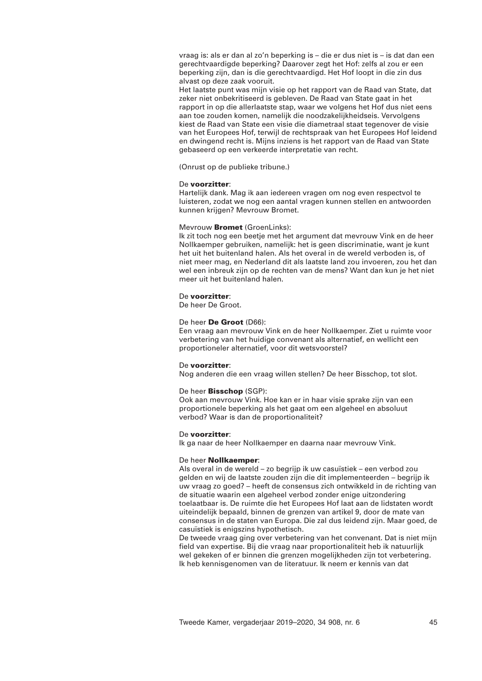vraag is: als er dan al zo'n beperking is – die er dus niet is – is dat dan een gerechtvaardigde beperking? Daarover zegt het Hof: zelfs al zou er een beperking zijn, dan is die gerechtvaardigd. Het Hof loopt in die zin dus alvast op deze zaak vooruit.

Het laatste punt was mijn visie op het rapport van de Raad van State, dat zeker niet onbekritiseerd is gebleven. De Raad van State gaat in het rapport in op die allerlaatste stap, waar we volgens het Hof dus niet eens aan toe zouden komen, namelijk die noodzakelijkheidseis. Vervolgens kiest de Raad van State een visie die diametraal staat tegenover de visie van het Europees Hof, terwijl de rechtspraak van het Europees Hof leidend en dwingend recht is. Mijns inziens is het rapport van de Raad van State gebaseerd op een verkeerde interpretatie van recht.

(Onrust op de publieke tribune.)

### De **voorzitter**:

Hartelijk dank. Mag ik aan iedereen vragen om nog even respectvol te luisteren, zodat we nog een aantal vragen kunnen stellen en antwoorden kunnen krijgen? Mevrouw Bromet.

### Mevrouw **Bromet** (GroenLinks):

Ik zit toch nog een beetje met het argument dat mevrouw Vink en de heer Nollkaemper gebruiken, namelijk: het is geen discriminatie, want je kunt het uit het buitenland halen. Als het overal in de wereld verboden is, of niet meer mag, en Nederland dit als laatste land zou invoeren, zou het dan wel een inbreuk zijn op de rechten van de mens? Want dan kun je het niet meer uit het buitenland halen.

### De **voorzitter**:

De heer De Groot.

## De heer **De Groot** (D66):

Een vraag aan mevrouw Vink en de heer Nollkaemper. Ziet u ruimte voor verbetering van het huidige convenant als alternatief, en wellicht een proportioneler alternatief, voor dit wetsvoorstel?

### De **voorzitter**:

Nog anderen die een vraag willen stellen? De heer Bisschop, tot slot.

### De heer **Bisschop** (SGP):

Ook aan mevrouw Vink. Hoe kan er in haar visie sprake zijn van een proportionele beperking als het gaat om een algeheel en absoluut verbod? Waar is dan de proportionaliteit?

## De **voorzitter**:

Ik ga naar de heer Nollkaemper en daarna naar mevrouw Vink.

## De heer **Nollkaemper**:

Als overal in de wereld – zo begrijp ik uw casuïstiek – een verbod zou gelden en wij de laatste zouden zijn die dit implementeerden – begrijp ik uw vraag zo goed? – heeft de consensus zich ontwikkeld in de richting van de situatie waarin een algeheel verbod zonder enige uitzondering toelaatbaar is. De ruimte die het Europees Hof laat aan de lidstaten wordt uiteindelijk bepaald, binnen de grenzen van artikel 9, door de mate van consensus in de staten van Europa. Die zal dus leidend zijn. Maar goed, de casuïstiek is enigszins hypothetisch.

De tweede vraag ging over verbetering van het convenant. Dat is niet mijn field van expertise. Bij die vraag naar proportionaliteit heb ik natuurlijk wel gekeken of er binnen die grenzen mogelijkheden zijn tot verbetering. Ik heb kennisgenomen van de literatuur. Ik neem er kennis van dat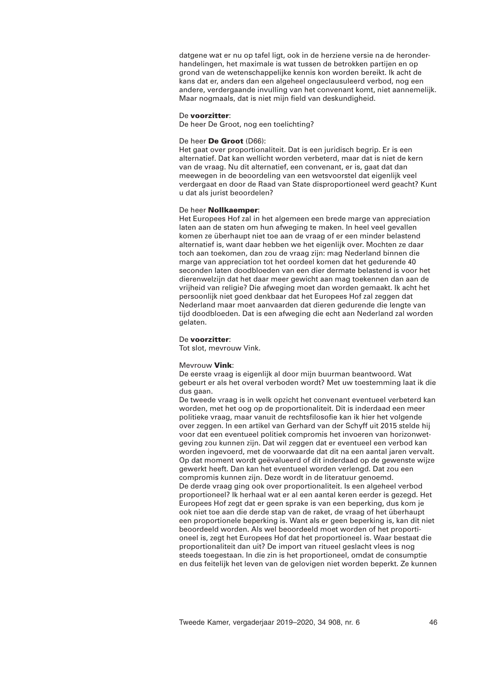datgene wat er nu op tafel ligt, ook in de herziene versie na de heronderhandelingen, het maximale is wat tussen de betrokken partijen en op grond van de wetenschappelijke kennis kon worden bereikt. Ik acht de kans dat er, anders dan een algeheel ongeclausuleerd verbod, nog een andere, verdergaande invulling van het convenant komt, niet aannemelijk. Maar nogmaals, dat is niet mijn field van deskundigheid.

### De **voorzitter**:

De heer De Groot, nog een toelichting?

## De heer **De Groot** (D66):

Het gaat over proportionaliteit. Dat is een juridisch begrip. Er is een alternatief. Dat kan wellicht worden verbeterd, maar dat is niet de kern van de vraag. Nu dit alternatief, een convenant, er is, gaat dat dan meewegen in de beoordeling van een wetsvoorstel dat eigenlijk veel verdergaat en door de Raad van State disproportioneel werd geacht? Kunt u dat als jurist beoordelen?

## De heer **Nollkaemper**:

Het Europees Hof zal in het algemeen een brede marge van appreciation laten aan de staten om hun afweging te maken. In heel veel gevallen komen ze überhaupt niet toe aan de vraag of er een minder belastend alternatief is, want daar hebben we het eigenlijk over. Mochten ze daar toch aan toekomen, dan zou de vraag zijn: mag Nederland binnen die marge van appreciation tot het oordeel komen dat het gedurende 40 seconden laten doodbloeden van een dier dermate belastend is voor het dierenwelzijn dat het daar meer gewicht aan mag toekennen dan aan de vrijheid van religie? Die afweging moet dan worden gemaakt. Ik acht het persoonlijk niet goed denkbaar dat het Europees Hof zal zeggen dat Nederland maar moet aanvaarden dat dieren gedurende die lengte van tijd doodbloeden. Dat is een afweging die echt aan Nederland zal worden gelaten.

## De **voorzitter**:

Tot slot, mevrouw Vink.

#### Mevrouw **Vink**:

De eerste vraag is eigenlijk al door mijn buurman beantwoord. Wat gebeurt er als het overal verboden wordt? Met uw toestemming laat ik die dus gaan.

De tweede vraag is in welk opzicht het convenant eventueel verbeterd kan worden, met het oog op de proportionaliteit. Dit is inderdaad een meer politieke vraag, maar vanuit de rechtsfilosofie kan ik hier het volgende over zeggen. In een artikel van Gerhard van der Schyff uit 2015 stelde hij voor dat een eventueel politiek compromis het invoeren van horizonwetgeving zou kunnen zijn. Dat wil zeggen dat er eventueel een verbod kan worden ingevoerd, met de voorwaarde dat dit na een aantal jaren vervalt. Op dat moment wordt geëvalueerd of dit inderdaad op de gewenste wijze gewerkt heeft. Dan kan het eventueel worden verlengd. Dat zou een compromis kunnen zijn. Deze wordt in de literatuur genoemd. De derde vraag ging ook over proportionaliteit. Is een algeheel verbod proportioneel? Ik herhaal wat er al een aantal keren eerder is gezegd. Het Europees Hof zegt dat er geen sprake is van een beperking, dus kom je ook niet toe aan die derde stap van de raket, de vraag of het überhaupt een proportionele beperking is. Want als er geen beperking is, kan dit niet beoordeeld worden. Als wel beoordeeld moet worden of het proportioneel is, zegt het Europees Hof dat het proportioneel is. Waar bestaat die proportionaliteit dan uit? De import van ritueel geslacht vlees is nog steeds toegestaan. In die zin is het proportioneel, omdat de consumptie en dus feitelijk het leven van de gelovigen niet worden beperkt. Ze kunnen